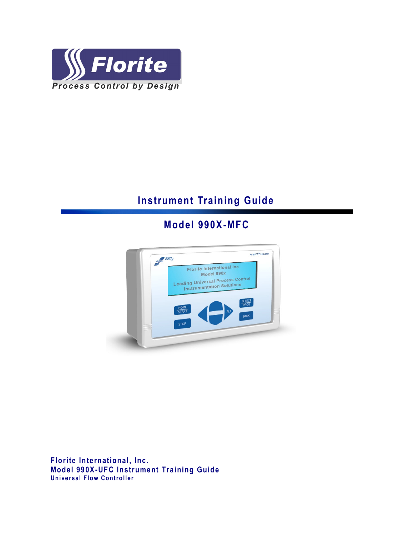

# **Instrument Training Guide**

# **Model 990X-MFC**



**Florite International, Inc. Model 990X-MFC Instrument Training Guide Mass Flow Controller**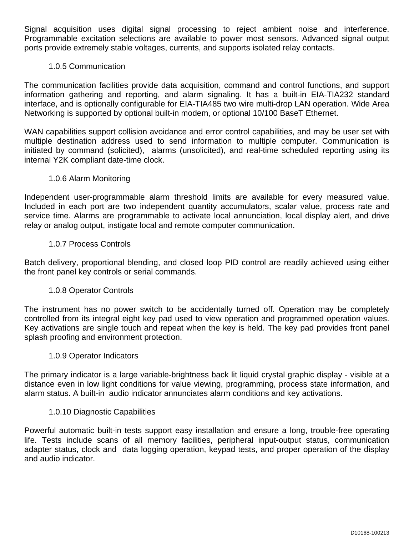Signal acquisition uses digital signal processing to reject ambient noise and interference. Programmable excitation selections are available to power most sensors. Advanced signal output ports provide extremely stable voltages, currents, and supports isolated relay contacts.

## 1.0.5 Communication

The communication facilities provide data acquisition, command and control functions, and support information gathering and reporting, and alarm signaling. It has a built-in EIA-TIA232 standard interface, and is optionally configurable for EIA-TIA485 two wire multi-drop LAN operation. Wide Area Networking is supported by optional built-in modem, or optional 10/100 BaseT Ethernet.

WAN capabilities support collision avoidance and error control capabilities, and may be user set with multiple destination address used to send information to multiple computer. Communication is initiated by command (solicited), alarms (unsolicited), and real-time scheduled reporting using its internal Y2K compliant date-time clock.

## 1.0.6 Alarm Monitoring

Independent user-programmable alarm threshold limits are available for every measured value. Included in each port are two independent quantity accumulators, scalar value, process rate and service time. Alarms are programmable to activate local annunciation, local display alert, and drive relay or analog output, instigate local and remote computer communication.

## 1.0.7 Process Controls

Batch delivery, proportional blending, and closed loop PID control are readily achieved using either the front panel key controls or serial commands.

#### 1.0.8 Operator Controls

The instrument has no power switch to be accidentally turned off. Operation may be completely controlled from its integral eight key pad used to view operation and programmed operation values. Key activations are single touch and repeat when the key is held. The key pad provides front panel splash proofing and environment protection.

#### 1.0.9 Operator Indicators

The primary indicator is a large variable-brightness back lit liquid crystal graphic display - visible at a distance even in low light conditions for value viewing, programming, process state information, and alarm status. A built-in audio indicator annunciates alarm conditions and key activations.

#### 1.0.10 Diagnostic Capabilities

Powerful automatic built-in tests support easy installation and ensure a long, trouble-free operating life. Tests include scans of all memory facilities, peripheral input-output status, communication adapter status, clock and data logging operation, keypad tests, and proper operation of the display and audio indicator.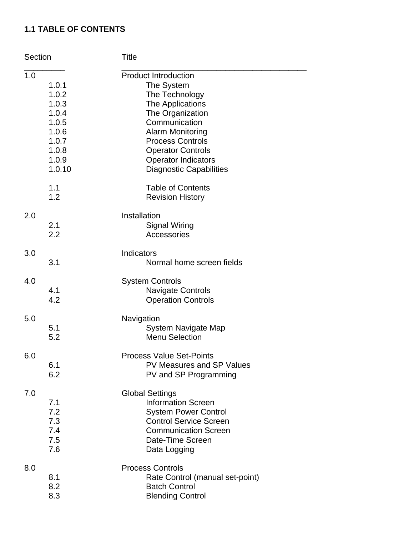# **1.1 TABLE OF CONTENTS**

| Section |                                                                                         | <b>Title</b>                                                                                                                                                                                                                                                           |  |  |
|---------|-----------------------------------------------------------------------------------------|------------------------------------------------------------------------------------------------------------------------------------------------------------------------------------------------------------------------------------------------------------------------|--|--|
| 1.0     | 1.0.1<br>1.0.2<br>1.0.3<br>1.0.4<br>1.0.5<br>1.0.6<br>1.0.7<br>1.0.8<br>1.0.9<br>1.0.10 | <b>Product Introduction</b><br>The System<br>The Technology<br>The Applications<br>The Organization<br>Communication<br><b>Alarm Monitoring</b><br><b>Process Controls</b><br><b>Operator Controls</b><br><b>Operator Indicators</b><br><b>Diagnostic Capabilities</b> |  |  |
|         | 1.1<br>1.2                                                                              | <b>Table of Contents</b><br><b>Revision History</b>                                                                                                                                                                                                                    |  |  |
| 2.0     | 2.1<br>2.2                                                                              | Installation<br><b>Signal Wiring</b><br>Accessories                                                                                                                                                                                                                    |  |  |
| 3.0     | 3.1                                                                                     | Indicators<br>Normal home screen fields                                                                                                                                                                                                                                |  |  |
| 4.0     | 4.1<br>4.2                                                                              | <b>System Controls</b><br><b>Navigate Controls</b><br><b>Operation Controls</b>                                                                                                                                                                                        |  |  |
| 5.0     | 5.1<br>5.2                                                                              | Navigation<br>System Navigate Map<br><b>Menu Selection</b>                                                                                                                                                                                                             |  |  |
| 6.0     | 6.1<br>6.2                                                                              | <b>Process Value Set-Points</b><br>PV Measures and SP Values<br>PV and SP Programming                                                                                                                                                                                  |  |  |
| 7.0     | 7.1<br>7.2<br>7.3<br>7.4<br>7.5<br>7.6                                                  | <b>Global Settings</b><br><b>Information Screen</b><br><b>System Power Control</b><br><b>Control Service Screen</b><br><b>Communication Screen</b><br>Date-Time Screen<br>Data Logging                                                                                 |  |  |
| 8.0     | 8.1<br>8.2<br>8.3                                                                       | <b>Process Controls</b><br>Rate Control (manual set-point)<br><b>Batch Control</b><br><b>Blending Control</b>                                                                                                                                                          |  |  |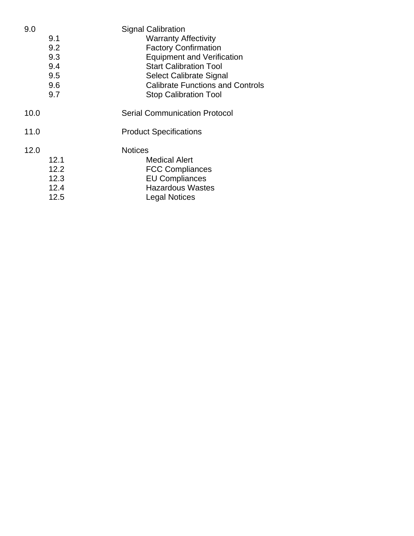| 9.0  |      | <b>Signal Calibration</b>               |
|------|------|-----------------------------------------|
|      | 9.1  | <b>Warranty Affectivity</b>             |
|      | 9.2  | <b>Factory Confirmation</b>             |
|      | 9.3  | <b>Equipment and Verification</b>       |
|      | 9.4  | <b>Start Calibration Tool</b>           |
|      | 9.5  | <b>Select Calibrate Signal</b>          |
|      | 9.6  | <b>Calibrate Functions and Controls</b> |
|      | 9.7  | <b>Stop Calibration Tool</b>            |
| 10.0 |      | <b>Serial Communication Protocol</b>    |
| 11.0 |      | <b>Product Specifications</b>           |
| 12.0 |      | <b>Notices</b>                          |
|      | 12.1 | <b>Medical Alert</b>                    |
|      | 12.2 | <b>FCC Compliances</b>                  |
|      | 12.3 | <b>EU Compliances</b>                   |
|      | 12.4 | <b>Hazardous Wastes</b>                 |
|      | 12.5 | <b>Legal Notices</b>                    |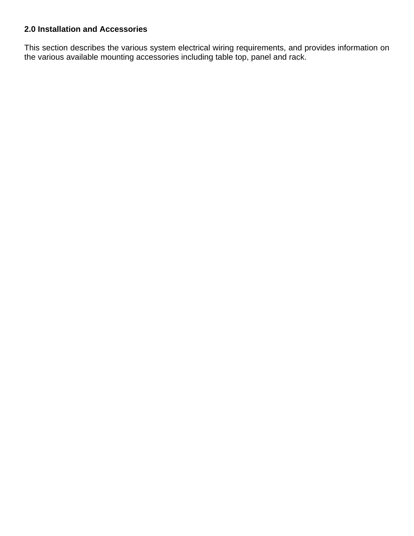# **2.0 Installation and Accessories**

This section describes the various system electrical wiring requirements, and provides information on the various available mounting accessories including table top, panel and rack.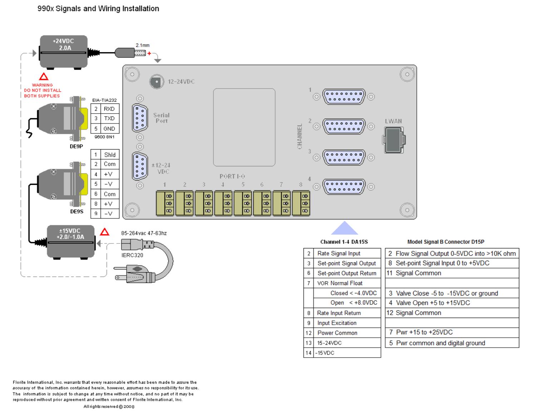

4 Valve Open +5 to +15VDC

5 Pwr common and digital ground

12 Signal Common

7 Pwr +15 to +25VDC

Open  $< +8.0$ VDC

Rate Input Return

**Input Excitation** 

Power Common

15-24VDC  $-15$  VDC

8 9

 $12$ 

13

14

Florite International, Inc. warrants that every reasonable effort has been made to assure the accuracy of the information contained herein, however, assumes no responsibility for its use. The information is subject to change at any time without notice, and no part of it may be reproduced without prior agreement and written consent of Florite International, Inc.

All rights reserved @ 2008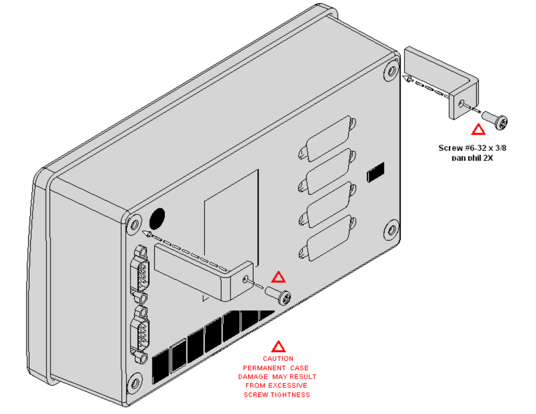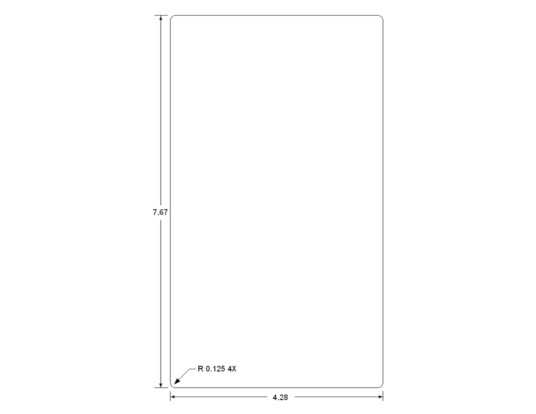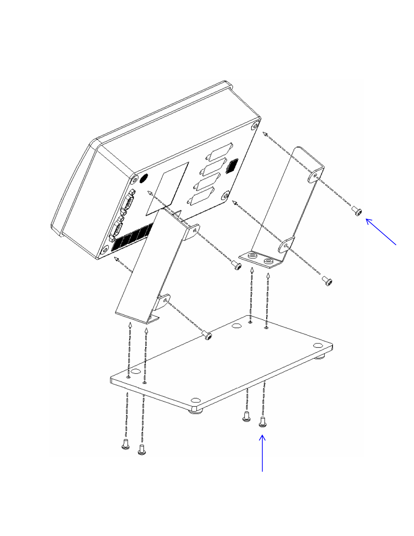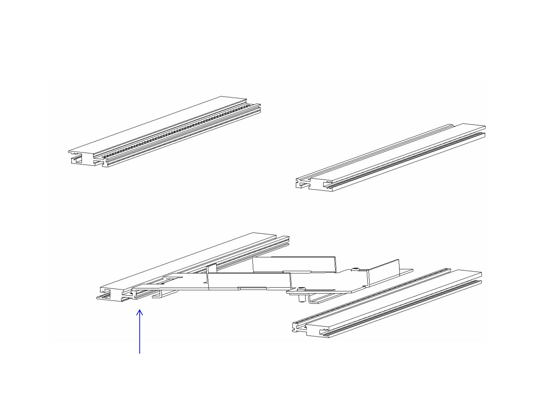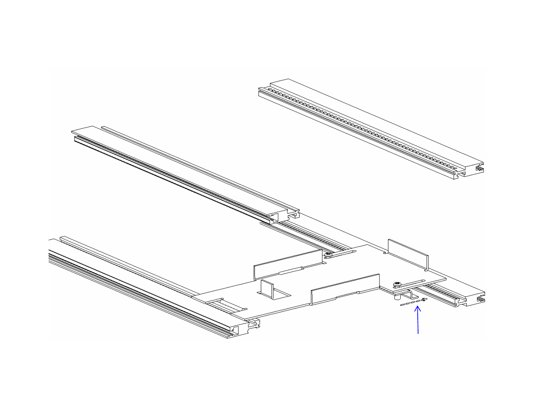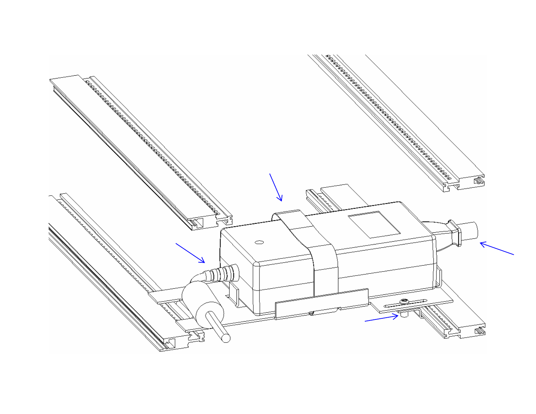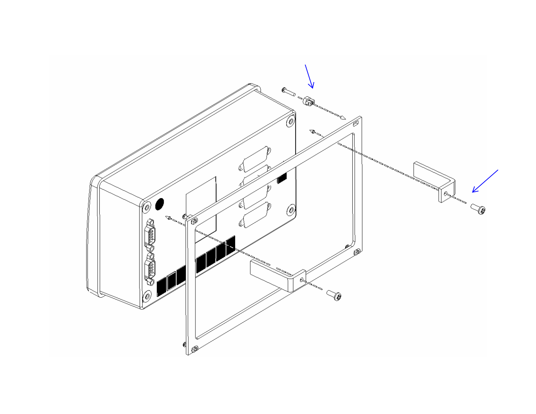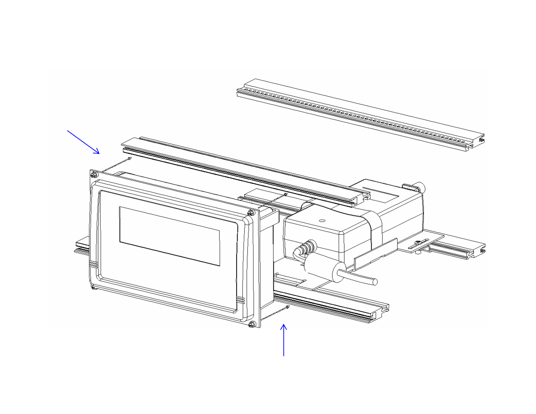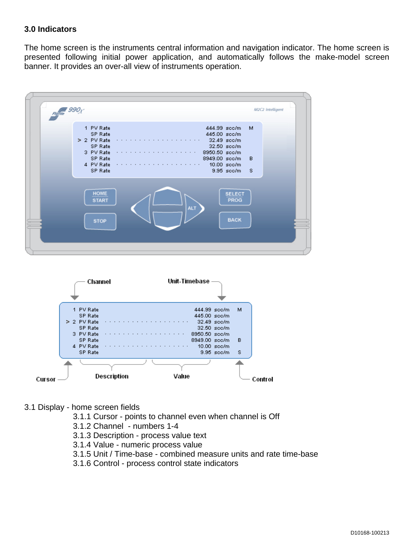# **3.0 Indicators**

The home screen is the instruments central information and navigation indicator. The home screen is presented following initial power application, and automatically follows the make-model screen banner. It provides an over-all view of instruments operation.





## 3.1 Display - home screen fields

- 3.1.1 Cursor points to channel even when channel is Off
- 3.1.2 Channel numbers 1-4
- 3.1.3 Description process value text
- 3.1.4 Value numeric process value
- 3.1.5 Unit / Time-base combined measure units and rate time-base
- 3.1.6 Control process control state indicators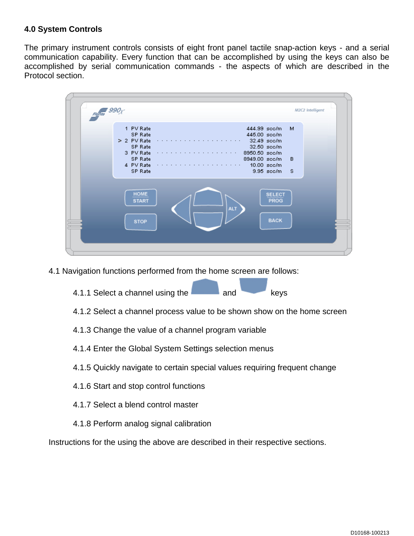# **4.0 System Controls**

The primary instrument controls consists of eight front panel tactile snap-action keys - and a serial communication capability. Every function that can be accomplished by using the keys can also be accomplished by serial communication commands - the aspects of which are described in the Protocol section.



4.1 Navigation functions performed from the home screen are follows:

- 4.1.1 Select a channel using the **and** and keys
- 4.1.2 Select a channel process value to be shown show on the home screen
- 4.1.3 Change the value of a channel program variable
- 4.1.4 Enter the Global System Settings selection menus
- 4.1.5 Quickly navigate to certain special values requiring frequent change
- 4.1.6 Start and stop control functions
- 4.1.7 Select a blend control master
- 4.1.8 Perform analog signal calibration

Instructions for the using the above are described in their respective sections.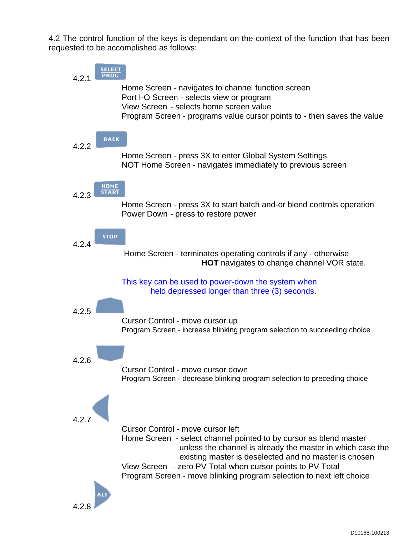4.2 The control function of the keys is dependant on the context of the function that has been requested to be accomplished as follows:

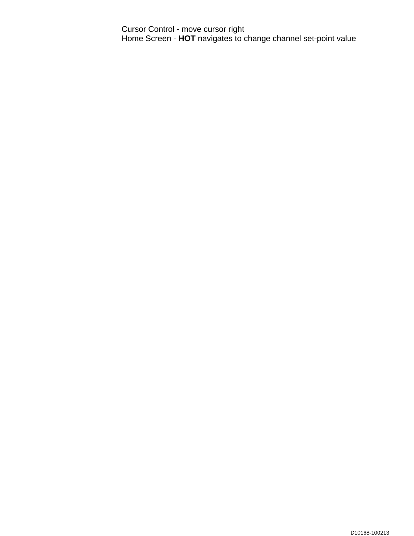Cursor Control - move cursor right Home Screen - **HOT** navigates to change channel set-point value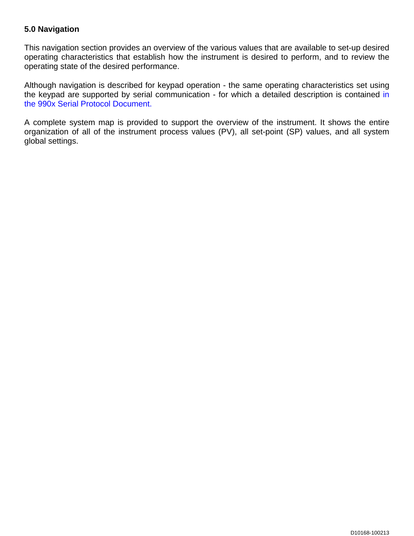# **5.0 Navigation**

This navigation section provides an overview of the various values that are available to set-up desired operating characteristics that establish how the instrument is desired to perform, and to review the operating state of the desired performance.

Although navigation is described for keypad operation - the same operating characteristics set using the keypad are supported by serial communication - for which a detailed description is contained in the 990x Serial Protocol Document.

A complete system map is provided to support the overview of the instrument. It shows the entire organization of all of the instrument process values (PV), all set-point (SP) values, and all system global settings.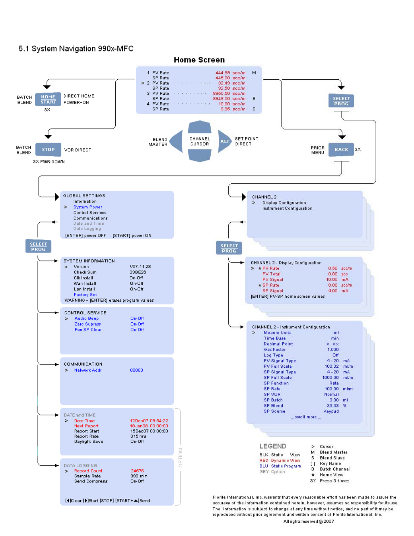#### 5.1 System Navigation 990x-MFC



All rights reserved @ 2007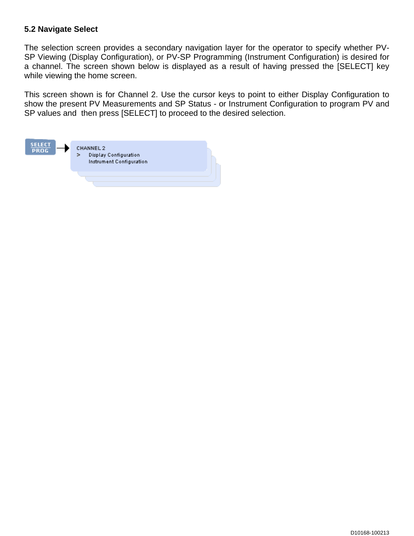# **5.2 Navigate Select**

The selection screen provides a secondary navigation layer for the operator to specify whether PV-SP Viewing (Display Configuration), or PV-SP Programming (Instrument Configuration) is desired for a channel. The screen shown below is displayed as a result of having pressed the [SELECT] key while viewing the home screen.

This screen shown is for Channel 2. Use the cursor keys to point to either Display Configuration to show the present PV Measurements and SP Status - or Instrument Configuration to program PV and SP values and then press [SELECT] to proceed to the desired selection.

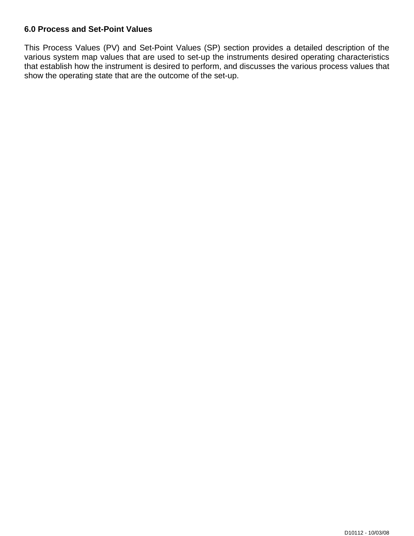## **6.0 Process and Set-Point Values**

This Process Values (PV) and Set-Point Values (SP) section provides a detailed description of the various system map values that are used to set-up the instruments desired operating characteristics that establish how the instrument is desired to perform, and discusses the various process values that show the operating state that are the outcome of the set-up.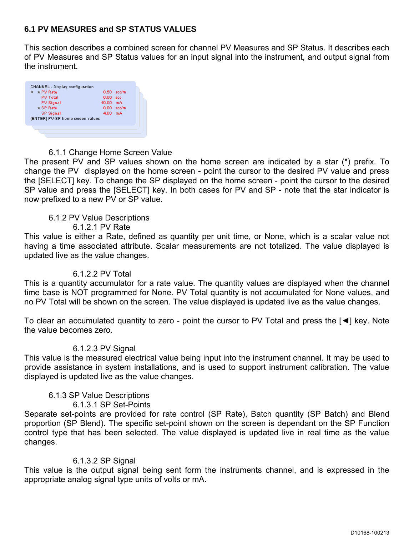# **6.1 PV MEASURES and SP STATUS VALUES**

This section describes a combined screen for channel PV Measures and SP Status. It describes each of PV Measures and SP Status values for an input signal into the instrument, and output signal from the instrument.

| $>$ $\star$ PV Rate              |             | $0.50$ see/m |
|----------------------------------|-------------|--------------|
| <b>PV Total</b>                  | $0.00 \sec$ |              |
| <b>PV Signal</b>                 | $10.00$ mA  |              |
| $\star$ SP Rate                  |             | $0.00$ see/m |
| <b>SP Signal</b>                 | $4.00$ mA   |              |
| [ENTER] PV-SP home screen values |             |              |
|                                  |             |              |

## 6.1.1 Change Home Screen Value

The present PV and SP values shown on the home screen are indicated by a star (\*) prefix. To change the PV displayed on the home screen - point the cursor to the desired PV value and press the [SELECT] key. To change the SP displayed on the home screen - point the cursor to the desired SP value and press the [SELECT] key. In both cases for PV and SP - note that the star indicator is now prefixed to a new PV or SP value.

## 6.1.2 PV Value Descriptions

## 6.1.2.1 PV Rate

This value is either a Rate, defined as quantity per unit time, or None, which is a scalar value not having a time associated attribute. Scalar measurements are not totalized. The value displayed is updated live as the value changes.

#### 6.1.2.2 PV Total

This is a quantity accumulator for a rate value. The quantity values are displayed when the channel time base is NOT programmed for None. PV Total quantity is not accumulated for None values, and no PV Total will be shown on the screen. The value displayed is updated live as the value changes.

To clear an accumulated quantity to zero - point the cursor to PV Total and press the [◄] key. Note the value becomes zero.

#### 6.1.2.3 PV Signal

This value is the measured electrical value being input into the instrument channel. It may be used to provide assistance in system installations, and is used to support instrument calibration. The value displayed is updated live as the value changes.

## 6.1.3 SP Value Descriptions

## 6.1.3.1 SP Set-Points

Separate set-points are provided for rate control (SP Rate), Batch quantity (SP Batch) and Blend proportion (SP Blend). The specific set-point shown on the screen is dependant on the SP Function control type that has been selected. The value displayed is updated live in real time as the value changes.

#### 6.1.3.2 SP Signal

This value is the output signal being sent form the instruments channel, and is expressed in the appropriate analog signal type units of volts or mA.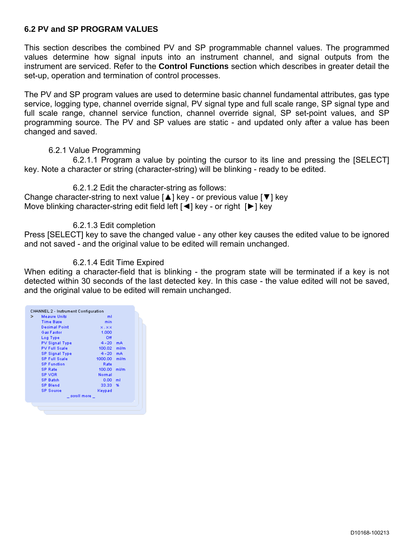# **6.2 PV and SP PROGRAM VALUES**

This section describes the combined PV and SP programmable channel values. The programmed values determine how signal inputs into an instrument channel, and signal outputs from the instrument are serviced. Refer to the **Control Functions** section which describes in greater detail the set-up, operation and termination of control processes.

The PV and SP program values are used to determine basic channel fundamental attributes, gas type service, logging type, channel override signal, PV signal type and full scale range, SP signal type and full scale range, channel service function, channel override signal, SP set-point values, and SP programming source. The PV and SP values are static - and updated only after a value has been changed and saved.

## 6.2.1 Value Programming

 6.2.1.1 Program a value by pointing the cursor to its line and pressing the [SELECT] key. Note a character or string (character-string) will be blinking - ready to be edited.

6.2.1.2 Edit the character-string as follows:

Change character-string to next value [▲] key - or previous value [▼] key Move blinking character-string edit field left [◄] key - or right [►] key

# 6.2.1.3 Edit completion

Press [SELECT] key to save the changed value - any other key causes the edited value to be ignored and not saved - and the original value to be edited will remain unchanged.

# 6.2.1.4 Edit Time Expired

When editing a character-field that is blinking - the program state will be terminated if a key is not detected within 30 seconds of the last detected key. In this case - the value edited will not be saved, and the original value to be edited will remain unchanged.

| ⋗ | <b>Meaure Units</b>   | ml                           |      |
|---|-----------------------|------------------------------|------|
|   | <b>Time Base</b>      | min                          |      |
|   | <b>Decimal Point</b>  | $\times$ . $\times$ $\times$ |      |
|   | Gas Factor            | 1.000                        |      |
|   | Log Type              | Ωff                          |      |
|   | PV Signal Type        | $4 - 20$                     | mA   |
|   | <b>PV Full Scale</b>  | 100.02 ml/m                  |      |
|   | <b>SP Signal Type</b> | $4 - 20$ mA                  |      |
|   | <b>SP Full Scale</b>  | $1000.00$ ml/m               |      |
|   | <b>SP Function</b>    | Rate                         |      |
|   | <b>SP Rate</b>        | 100.00                       | ml/m |
|   | SP VOR                | Normal                       |      |
|   | <b>SP Batch</b>       | 0.00                         | ml   |
|   | <b>SP Blend</b>       | 33.33 %                      |      |
|   | <b>SP Source</b>      | Keypad                       |      |
|   | scroll more           |                              |      |
|   |                       |                              |      |
|   |                       |                              |      |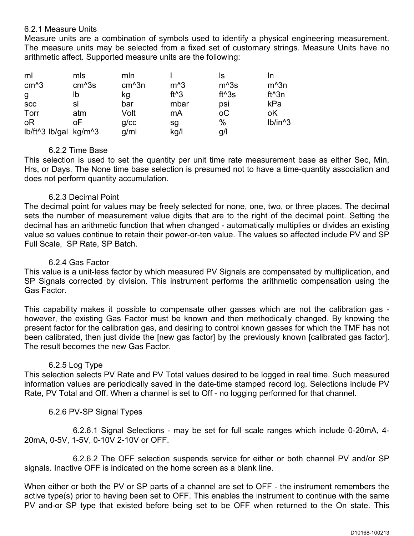## 6.2.1 Measure Units

Measure units are a combination of symbols used to identify a physical engineering measurement. The measure units may be selected from a fixed set of customary strings. Measure Units have no arithmetic affect. Supported measure units are the following:

| ml                    | mls                | mln                |        | Is      | In                 |
|-----------------------|--------------------|--------------------|--------|---------|--------------------|
| cm <sup>2</sup> 3     | cm <sup>2</sup> 3s | cm <sup>2</sup> 3n | $m^3$  | $m^3s$  | $m^2$ 3n           |
| g                     | lb                 | kg                 | $ft^3$ | $ft^3s$ | ft <sup>^</sup> 3n |
| <b>SCC</b>            | sl                 | bar                | mbar   | psi     | kPa                |
| Torr                  | atm                | Volt               | mA     | оC      | οK                 |
| <sub>o</sub> R        | oΕ                 | q/cc               | sg     | $\%$    | $Ib/in^3$          |
| lb/ft^3 lb/gal kg/m^3 |                    | g/ml               | kg/l   | g/l     |                    |

## 6.2.2 Time Base

This selection is used to set the quantity per unit time rate measurement base as either Sec, Min, Hrs, or Days. The None time base selection is presumed not to have a time-quantity association and does not perform quantity accumulation.

## 6.2.3 Decimal Point

The decimal point for values may be freely selected for none, one, two, or three places. The decimal sets the number of measurement value digits that are to the right of the decimal point. Setting the decimal has an arithmetic function that when changed - automatically multiplies or divides an existing value so values continue to retain their power-or-ten value. The values so affected include PV and SP Full Scale, SP Rate, SP Batch.

## 6.2.4 Gas Factor

This value is a unit-less factor by which measured PV Signals are compensated by multiplication, and SP Signals corrected by division. This instrument performs the arithmetic compensation using the Gas Factor.

This capability makes it possible to compensate other gasses which are not the calibration gas however, the existing Gas Factor must be known and then methodically changed. By knowing the present factor for the calibration gas, and desiring to control known gasses for which the TMF has not been calibrated, then just divide the [new gas factor] by the previously known [calibrated gas factor]. The result becomes the new Gas Factor.

## 6.2.5 Log Type

This selection selects PV Rate and PV Total values desired to be logged in real time. Such measured information values are periodically saved in the date-time stamped record log. Selections include PV Rate, PV Total and Off. When a channel is set to Off - no logging performed for that channel.

## 6.2.6 PV-SP Signal Types

 6.2.6.1 Signal Selections - may be set for full scale ranges which include 0-20mA, 4- 20mA, 0-5V, 1-5V, 0-10V 2-10V or OFF.

 6.2.6.2 The OFF selection suspends service for either or both channel PV and/or SP signals. Inactive OFF is indicated on the home screen as a blank line.

When either or both the PV or SP parts of a channel are set to OFF - the instrument remembers the active type(s) prior to having been set to OFF. This enables the instrument to continue with the same PV and-or SP type that existed before being set to be OFF when returned to the On state. This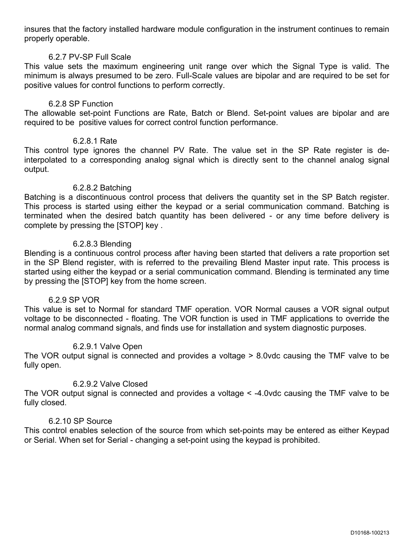insures that the factory installed hardware module configuration in the instrument continues to remain properly operable.

## 6.2.7 PV-SP Full Scale

This value sets the maximum engineering unit range over which the Signal Type is valid. The minimum is always presumed to be zero. Full-Scale values are bipolar and are required to be set for positive values for control functions to perform correctly.

## 6.2.8 SP Function

The allowable set-point Functions are Rate, Batch or Blend. Set-point values are bipolar and are required to be positive values for correct control function performance.

# 6.2.8.1 Rate

This control type ignores the channel PV Rate. The value set in the SP Rate register is deinterpolated to a corresponding analog signal which is directly sent to the channel analog signal output.

# 6.2.8.2 Batching

Batching is a discontinuous control process that delivers the quantity set in the SP Batch register. This process is started using either the keypad or a serial communication command. Batching is terminated when the desired batch quantity has been delivered - or any time before delivery is complete by pressing the [STOP] key .

# 6.2.8.3 Blending

Blending is a continuous control process after having been started that delivers a rate proportion set in the SP Blend register, with is referred to the prevailing Blend Master input rate. This process is started using either the keypad or a serial communication command. Blending is terminated any time by pressing the [STOP] key from the home screen.

## 6.2.9 SP VOR

This value is set to Normal for standard TMF operation. VOR Normal causes a VOR signal output voltage to be disconnected - floating. The VOR function is used in TMF applications to override the normal analog command signals, and finds use for installation and system diagnostic purposes.

## 6.2.9.1 Valve Open

The VOR output signal is connected and provides a voltage > 8.0vdc causing the TMF valve to be fully open.

## 6.2.9.2 Valve Closed

The VOR output signal is connected and provides a voltage < -4.0vdc causing the TMF valve to be fully closed.

## 6.2.10 SP Source

This control enables selection of the source from which set-points may be entered as either Keypad or Serial. When set for Serial - changing a set-point using the keypad is prohibited.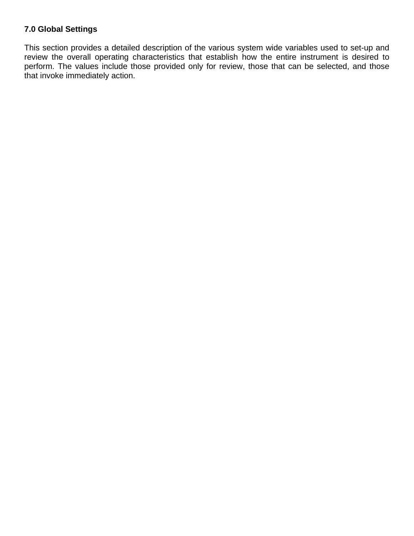# **7.0 Global Settings**

This section provides a detailed description of the various system wide variables used to set-up and review the overall operating characteristics that establish how the entire instrument is desired to perform. The values include those provided only for review, those that can be selected, and those that invoke immediately action.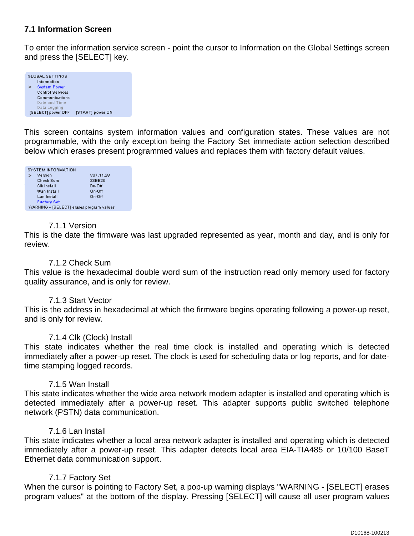# **7.1 Information Screen**

To enter the information service screen - point the cursor to Information on the Global Settings screen and press the [SELECT] key.



This screen contains system information values and configuration states. These values are not programmable, with the only exception being the Factory Set immediate action selection described below which erases present programmed values and replaces them with factory default values.

|                                          | SYSTEM INFORMATION |           |
|------------------------------------------|--------------------|-----------|
|                                          | Version            | V07.11.28 |
|                                          | Check Sum          | 33BE26    |
|                                          | Clk Install        | On-Off    |
|                                          | Wan Install        | On-Off    |
|                                          | Lan Install        | On-Off    |
|                                          | <b>Factory Set</b> |           |
| WARNING - [SELECT] erases program values |                    |           |

## 7.1.1 Version

This is the date the firmware was last upgraded represented as year, month and day, and is only for review.

## 7.1.2 Check Sum

This value is the hexadecimal double word sum of the instruction read only memory used for factory quality assurance, and is only for review.

#### 7.1.3 Start Vector

This is the address in hexadecimal at which the firmware begins operating following a power-up reset, and is only for review.

#### 7.1.4 Clk (Clock) Install

This state indicates whether the real time clock is installed and operating which is detected immediately after a power-up reset. The clock is used for scheduling data or log reports, and for datetime stamping logged records.

#### 7.1.5 Wan Install

This state indicates whether the wide area network modem adapter is installed and operating which is detected immediately after a power-up reset. This adapter supports public switched telephone network (PSTN) data communication.

#### 7.1.6 Lan Install

This state indicates whether a local area network adapter is installed and operating which is detected immediately after a power-up reset. This adapter detects local area EIA-TIA485 or 10/100 BaseT Ethernet data communication support.

#### 7.1.7 Factory Set

When the cursor is pointing to Factory Set, a pop-up warning displays "WARNING - [SELECT] erases program values" at the bottom of the display. Pressing [SELECT] will cause all user program values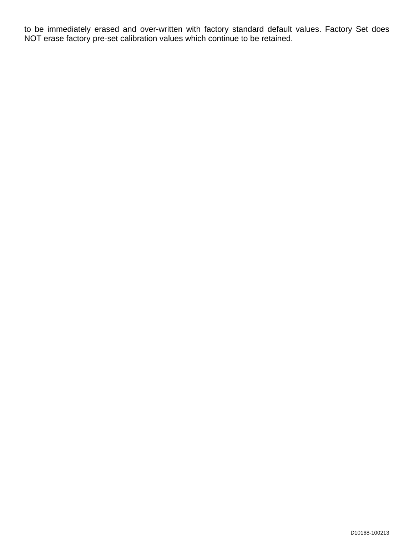to be immediately erased and over-written with factory standard default values. Factory Set does NOT erase factory pre-set calibration values which continue to be retained.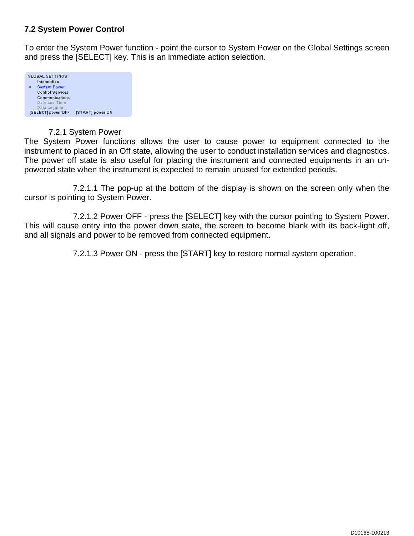# **7.2 System Power Control**

To enter the System Power function - point the cursor to System Power on the Global Settings screen and press the [SELECT] key. This is an immediate action selection.

|   | <b>GLOBAL SETTINGS</b>  |                  |  |  |
|---|-------------------------|------------------|--|--|
|   | Information             |                  |  |  |
| ⋗ | <b>System Power</b>     |                  |  |  |
|   | <b>Control Services</b> |                  |  |  |
|   | Communications          |                  |  |  |
|   | Date and Time           |                  |  |  |
|   | Data Logging            |                  |  |  |
|   | [SELECT] power OFF      | [START] power ON |  |  |

#### 7.2.1 System Power

The System Power functions allows the user to cause power to equipment connected to the instrument to placed in an Off state, allowing the user to conduct installation services and diagnostics. The power off state is also useful for placing the instrument and connected equipments in an unpowered state when the instrument is expected to remain unused for extended periods.

 7.2.1.1 The pop-up at the bottom of the display is shown on the screen only when the cursor is pointing to System Power.

 7.2.1.2 Power OFF - press the [SELECT] key with the cursor pointing to System Power. This will cause entry into the power down state, the screen to become blank with its back-light off, and all signals and power to be removed from connected equipment.

7.2.1.3 Power ON - press the [START] key to restore normal system operation.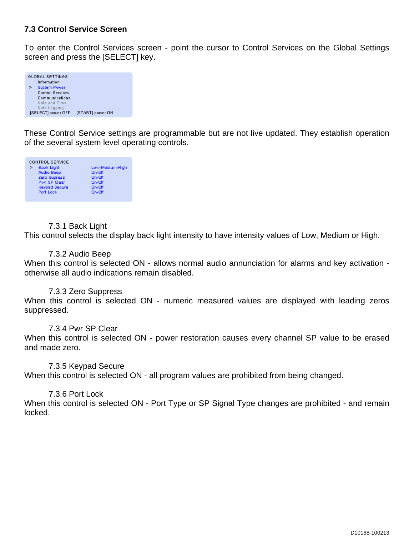# **7.3 Control Service Screen**

To enter the Control Services screen - point the cursor to Control Services on the Global Settings screen and press the [SELECT] key.



These Control Service settings are programmable but are not live updated. They establish operation of the several system level operating controls.

| CONTROL SERVICE |                      |                 |  |  |
|-----------------|----------------------|-----------------|--|--|
| >               | <b>Back Light</b>    | Low-Medium-High |  |  |
|                 | <b>Audio Beep</b>    | On-Off          |  |  |
|                 | Zero Supress         | On-Off          |  |  |
|                 | Pwr SP Clear         | On-Off          |  |  |
|                 | <b>Keypad Secure</b> | On-Off          |  |  |
|                 | Port Look            | On-Off          |  |  |
|                 |                      |                 |  |  |

## 7.3.1 Back Light

This control selects the display back light intensity to have intensity values of Low, Medium or High.

#### 7.3.2 Audio Beep

When this control is selected ON - allows normal audio annunciation for alarms and key activation otherwise all audio indications remain disabled.

#### 7.3.3 Zero Suppress

When this control is selected ON - numeric measured values are displayed with leading zeros suppressed.

#### 7.3.4 Pwr SP Clear

When this control is selected ON - power restoration causes every channel SP value to be erased and made zero.

#### 7.3.5 Keypad Secure

When this control is selected ON - all program values are prohibited from being changed.

#### 7.3.6 Port Lock

When this control is selected ON - Port Type or SP Signal Type changes are prohibited - and remain locked.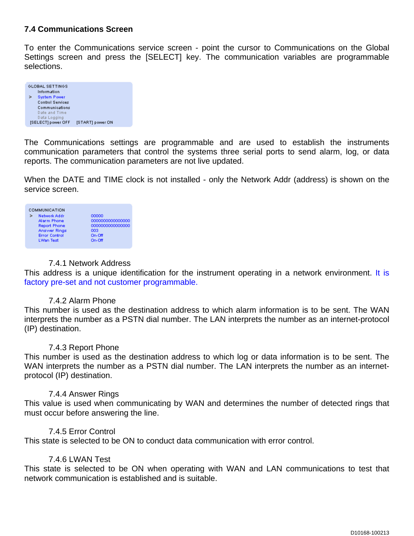## **7.4 Communications Screen**

To enter the Communications service screen - point the cursor to Communications on the Global Settings screen and press the [SELECT] key. The communication variables are programmable selections.



The Communications settings are programmable and are used to establish the instruments communication parameters that control the systems three serial ports to send alarm, log, or data reports. The communication parameters are not live updated.

When the DATE and TIME clock is not installed - only the Network Addr (address) is shown on the service screen.



#### 7.4.1 Network Address

This address is a unique identification for the instrument operating in a network environment. It is factory pre-set and not customer programmable.

#### 7.4.2 Alarm Phone

This number is used as the destination address to which alarm information is to be sent. The WAN interprets the number as a PSTN dial number. The LAN interprets the number as an internet-protocol (IP) destination.

#### 7.4.3 Report Phone

This number is used as the destination address to which log or data information is to be sent. The WAN interprets the number as a PSTN dial number. The LAN interprets the number as an internetprotocol (IP) destination.

#### 7.4.4 Answer Rings

This value is used when communicating by WAN and determines the number of detected rings that must occur before answering the line.

#### 7.4.5 Error Control

This state is selected to be ON to conduct data communication with error control.

## 7.4.6 LWAN Test

This state is selected to be ON when operating with WAN and LAN communications to test that network communication is established and is suitable.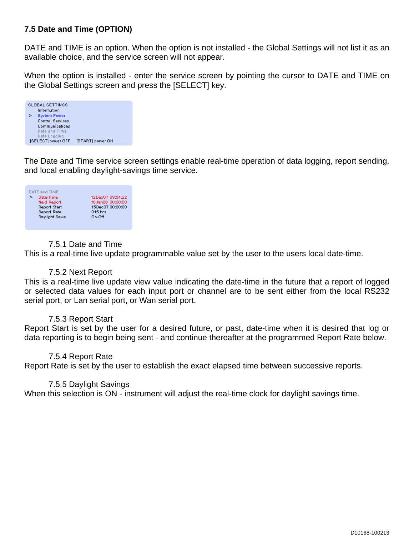# **7.5 Date and Time (OPTION)**

DATE and TIME is an option. When the option is not installed - the Global Settings will not list it as an available choice, and the service screen will not appear.

When the option is installed - enter the service screen by pointing the cursor to DATE and TIME on the Global Settings screen and press the [SELECT] key.



The Date and Time service screen settings enable real-time operation of data logging, report sending, and local enabling daylight-savings time service.



## 7.5.1 Date and Time

This is a real-time live update programmable value set by the user to the users local date-time.

## 7.5.2 Next Report

This is a real-time live update view value indicating the date-time in the future that a report of logged or selected data values for each input port or channel are to be sent either from the local RS232 serial port, or Lan serial port, or Wan serial port.

## 7.5.3 Report Start

Report Start is set by the user for a desired future, or past, date-time when it is desired that log or data reporting is to begin being sent - and continue thereafter at the programmed Report Rate below.

## 7.5.4 Report Rate

Report Rate is set by the user to establish the exact elapsed time between successive reports.

#### 7.5.5 Daylight Savings

When this selection is ON - instrument will adjust the real-time clock for daylight savings time.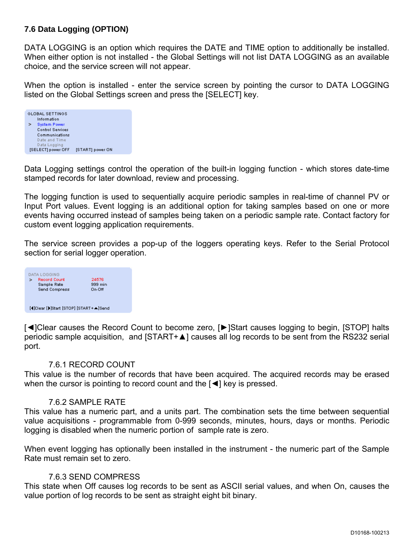# **7.6 Data Logging (OPTION)**

DATA LOGGING is an option which requires the DATE and TIME option to additionally be installed. When either option is not installed - the Global Settings will not list DATA LOGGING as an available choice, and the service screen will not appear.

When the option is installed - enter the service screen by pointing the cursor to DATA LOGGING listed on the Global Settings screen and press the [SELECT] key.



Data Logging settings control the operation of the built-in logging function - which stores date-time stamped records for later download, review and processing.

The logging function is used to sequentially acquire periodic samples in real-time of channel PV or Input Port values. Event logging is an additional option for taking samples based on one or more events having occurred instead of samples being taken on a periodic sample rate. Contact factory for custom event logging application requirements.

The service screen provides a pop-up of the loggers operating keys. Refer to the Serial Protocol section for serial logger operation.



[◄]Clear causes the Record Count to become zero, [►]Start causes logging to begin, [STOP] halts periodic sample acquisition, and [START+▲] causes all log records to be sent from the RS232 serial port.

## 7.6.1 RECORD COUNT

This value is the number of records that have been acquired. The acquired records may be erased when the cursor is pointing to record count and the  $\lceil \blacktriangleleft \rceil$  key is pressed.

#### 7.6.2 SAMPLE RATE

This value has a numeric part, and a units part. The combination sets the time between sequential value acquisitions - programmable from 0-999 seconds, minutes, hours, days or months. Periodic logging is disabled when the numeric portion of sample rate is zero.

When event logging has optionally been installed in the instrument - the numeric part of the Sample Rate must remain set to zero.

#### 7.6.3 SEND COMPRESS

This state when Off causes log records to be sent as ASCII serial values, and when On, causes the value portion of log records to be sent as straight eight bit binary.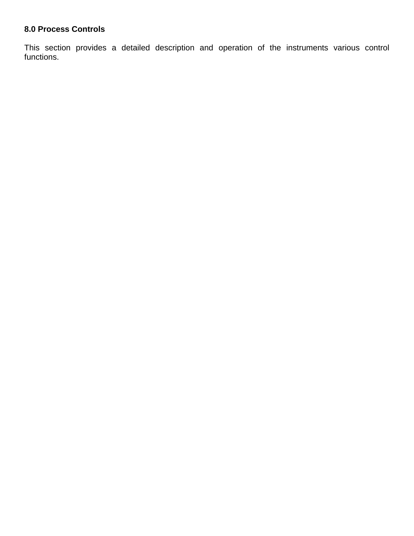# **8.0 Process Controls**

This section provides a detailed description and operation of the instruments various control functions.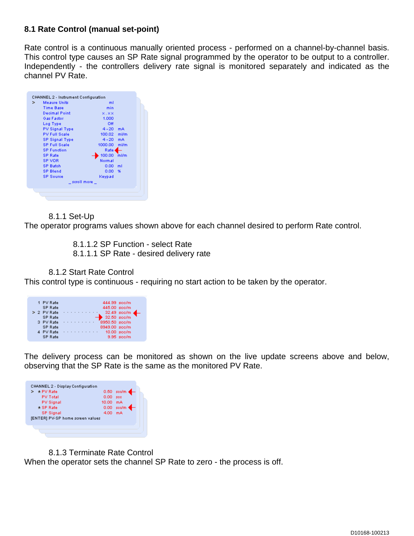# **8.1 Rate Control (manual set-point)**

Rate control is a continuous manually oriented process - performed on a channel-by-channel basis. This control type causes an SP Rate signal programmed by the operator to be output to a controller. Independently - the controllers delivery rate signal is monitored separately and indicated as the channel PV Rate.

| <b>Time Base</b>      | ml<br>min                    |      |  |
|-----------------------|------------------------------|------|--|
|                       |                              |      |  |
| <b>Decimal Point</b>  | $\times$ . $\times$ $\times$ |      |  |
| Gas Factor            | 1.000                        |      |  |
| Log Type              | Off                          |      |  |
| PV Signal Type        | $4 - 20$                     | mA   |  |
| <b>PV Full Scale</b>  | 100.02 ml/m                  |      |  |
| <b>SP Signal Type</b> | $4 - 20$ mA                  |      |  |
| <b>SP Full Scale</b>  | 1000.00                      | ml/m |  |
| <b>SP Function</b>    | Rate-                        |      |  |
| <b>SP Rate</b>        | 100.00                       | ml/m |  |
| SP VOR                | Normal                       |      |  |
| <b>SP Batch</b>       | 0.00                         | ml   |  |
| <b>SP Blend</b>       | 0.00                         | - %  |  |
| <b>SP Source</b>      | Keypad                       |      |  |
| scroll more           |                              |      |  |

## 8.1.1 Set-Up

The operator programs values shown above for each channel desired to perform Rate control.

 8.1.1.2 SP Function - select Rate 8.1.1.1 SP Rate - desired delivery rate

# 8.1.2 Start Rate Control

This control type is continuous - requiring no start action to be taken by the operator.



The delivery process can be monitored as shown on the live update screens above and below, observing that the SP Rate is the same as the monitored PV Rate.



#### 8.1.3 Terminate Rate Control

When the operator sets the channel SP Rate to zero - the process is off.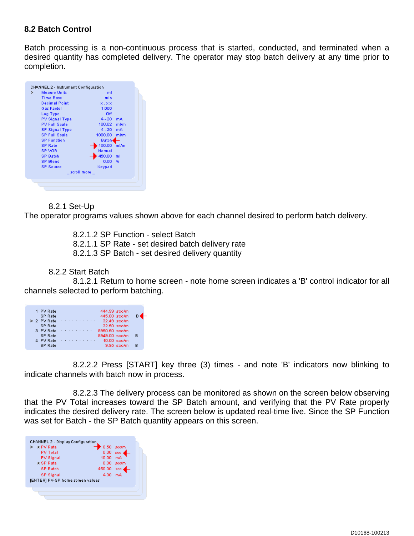# **8.2 Batch Control**

Batch processing is a non-continuous process that is started, conducted, and terminated when a desired quantity has completed delivery. The operator may stop batch delivery at any time prior to completion.



## 8.2.1 Set-Up

The operator programs values shown above for each channel desired to perform batch delivery.

8.2.1.2 SP Function - select Batch

8.2.1.1 SP Rate - set desired batch delivery rate

8.2.1.3 SP Batch - set desired delivery quantity

#### 8.2.2 Start Batch

 8.1.2.1 Return to home screen - note home screen indicates a 'B' control indicator for all channels selected to perform batching.

|  | 1 PV Rate                         |  |  |  |  |  | 444.99 sec/m                              |               |     |  |
|--|-----------------------------------|--|--|--|--|--|-------------------------------------------|---------------|-----|--|
|  | <b>SP Rate</b>                    |  |  |  |  |  | 445.00 sec/m                              |               |     |  |
|  | $> 2$ PV Rate $\cdots$            |  |  |  |  |  | 32.49 scc/m                               |               |     |  |
|  | <b>SP Rate</b>                    |  |  |  |  |  |                                           | 32.50 scc/m   |     |  |
|  |                                   |  |  |  |  |  | 3 PV Rate + + + + + + + + + 8950.50 soo/m |               |     |  |
|  | SP Rate                           |  |  |  |  |  | 8949.00 sec/m                             |               | - B |  |
|  | 4 PV Rate of the service of the B |  |  |  |  |  |                                           | $10.00$ sec/m |     |  |
|  | SP Rate                           |  |  |  |  |  |                                           | $9.95$ scc/m  | R   |  |
|  |                                   |  |  |  |  |  |                                           |               |     |  |

 8.2.2.2 Press [START] key three (3) times - and note 'B' indicators now blinking to indicate channels with batch now in process.

 8.2.2.3 The delivery process can be monitored as shown on the screen below observing that the PV Total increases toward the SP Batch amount, and verifying that the PV Rate properly indicates the desired delivery rate. The screen below is updated real-time live. Since the SP Function was set for Batch - the SP Batch quantity appears on this screen.

| CHANNEL 2 - Display Configuration |             |              |  |
|-----------------------------------|-------------|--------------|--|
| $> x$ PV Rate                     | 0.50        | sco/m        |  |
| <b>PV Total</b>                   | $0.00 \sec$ |              |  |
| PV Signal                         | 10.00.      | -mA          |  |
| * SP Rate                         |             | $0.00$ see/m |  |
| <b>SP Batch</b>                   | 450.00      | scc.         |  |
| <b>SP Signal</b>                  | 4.00        | mA           |  |
| [ENTER] PV-SP home screen values  |             |              |  |
|                                   |             |              |  |
|                                   |             |              |  |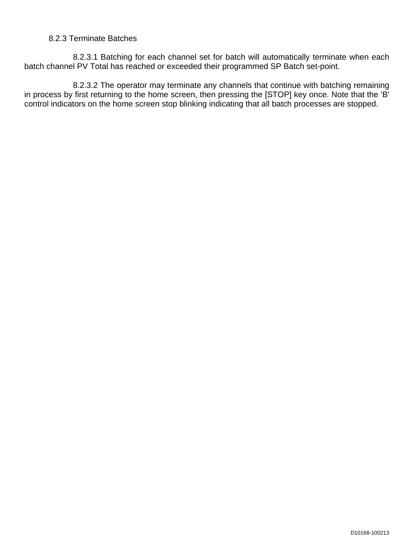# 8.2.3 Terminate Batches

 8.2.3.1 Batching for each channel set for batch will automatically terminate when each batch channel PV Total has reached or exceeded their programmed SP Batch set-point.

 8.2.3.2 The operator may terminate any channels that continue with batching remaining in process by first returning to the home screen, then pressing the [STOP] key once. Note that the 'B' control indicators on the home screen stop blinking indicating that all batch processes are stopped.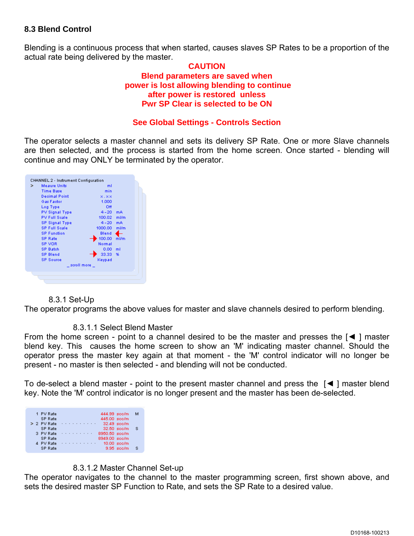# **8.3 Blend Control**

Blending is a continuous process that when started, causes slaves SP Rates to be a proportion of the actual rate being delivered by the master.

#### **CAUTION**

## **Blend parameters are saved when power is lost allowing blending to continue after power is restored unless Pwr SP Clear is selected to be ON**

## **See Global Settings - Controls Section**

The operator selects a master channel and sets its delivery SP Rate. One or more Slave channels are then selected, and the process is started from the home screen. Once started - blending will continue and may ONLY be terminated by the operator.



#### 8.3.1 Set-Up

The operator programs the above values for master and slave channels desired to perform blending.

#### 8.3.1.1 Select Blend Master

From the home screen - point to a channel desired to be the master and presses the [◄ ] master blend key. This causes the home screen to show an 'M' indicating master channel. Should the operator press the master key again at that moment - the 'M' control indicator will no longer be present - no master is then selected - and blending will not be conducted.

To de-select a blend master - point to the present master channel and press the [◄ ] master blend key. Note the 'M' control indicator is no longer present and the master has been de-selected.

| 1 PV Rate      |                                     | 444.99 see/m         | м  |
|----------------|-------------------------------------|----------------------|----|
| SP Rate        |                                     | 445.00 sec/m         |    |
|                | $> 2$ PV Rate $\cdots$              | $32.49$ sec/m        |    |
| <b>SP Rate</b> |                                     | $32.50$ sec/m $\,$ S |    |
|                |                                     |                      |    |
| <b>SP Rate</b> |                                     | 8949.00 scc/m        |    |
| 4 PV Rate      | the contract of the contract of the | $10.00$ see/m        |    |
| <b>SP Rate</b> |                                     | $9.95$ sec/m         | -S |
|                |                                     |                      |    |

#### 8.3.1.2 Master Channel Set-up

The operator navigates to the channel to the master programming screen, first shown above, and sets the desired master SP Function to Rate, and sets the SP Rate to a desired value.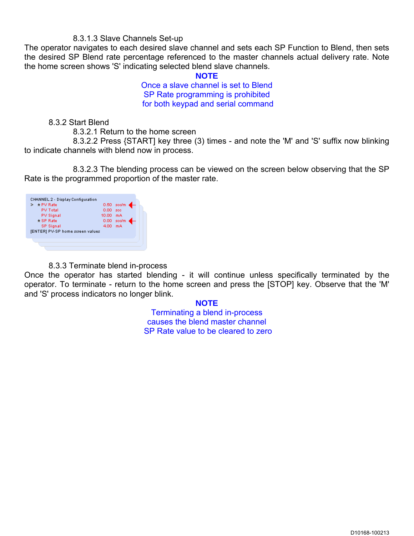## 8.3.1.3 Slave Channels Set-up

The operator navigates to each desired slave channel and sets each SP Function to Blend, then sets the desired SP Blend rate percentage referenced to the master channels actual delivery rate. Note the home screen shows 'S' indicating selected blend slave channels.

**NOTE** 

Once a slave channel is set to Blend SP Rate programming is prohibited for both keypad and serial command

8.3.2 Start Blend

8.3.2.1 Return to the home screen

 8.3.2.2 Press {START] key three (3) times - and note the 'M' and 'S' suffix now blinking to indicate channels with blend now in process.

 8.3.2.3 The blending process can be viewed on the screen below observing that the SP Rate is the programmed proportion of the master rate.

| CHANNEL 2 - Display Configuration |            |                      |
|-----------------------------------|------------|----------------------|
| $> x$ PV Rate                     |            | $0.50$ see/m         |
| <b>PV Total</b>                   | $0.00$ see |                      |
| <b>PV Signal</b>                  | $10.00$ mA |                      |
| * SP Rate                         |            | $0.00 \text{ sec/m}$ |
| <b>SP Signal</b>                  | $4.00$ mA  |                      |
| [ENTER] PV-SP home screen values  |            |                      |
|                                   |            |                      |
|                                   |            |                      |
|                                   |            |                      |

# 8.3.3 Terminate blend in-process

Once the operator has started blending - it will continue unless specifically terminated by the operator. To terminate - return to the home screen and press the [STOP] key. Observe that the 'M' and 'S' process indicators no longer blink.

# **NOTE**

Terminating a blend in-process causes the blend master channel SP Rate value to be cleared to zero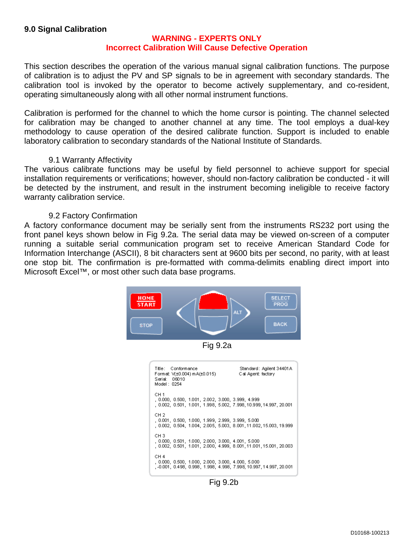#### **WARNING - EXPERTS ONLY**

#### **Incorrect Calibration Will Cause Defective Operation**

This section describes the operation of the various manual signal calibration functions. The purpose of calibration is to adjust the PV and SP signals to be in agreement with secondary standards. The calibration tool is invoked by the operator to become actively supplementary, and co-resident, operating simultaneously along with all other normal instrument functions.

Calibration is performed for the channel to which the home cursor is pointing. The channel selected for calibration may be changed to another channel at any time. The tool employs a dual-key methodology to cause operation of the desired calibrate function. Support is included to enable laboratory calibration to secondary standards of the National Institute of Standards.

#### 9.1 Warranty Affectivity

The various calibrate functions may be useful by field personnel to achieve support for special installation requirements or verifications; however, should non-factory calibration be conducted - it will be detected by the instrument, and result in the instrument becoming ineligible to receive factory warranty calibration service.

#### 9.2 Factory Confirmation

A factory conformance document may be serially sent from the instruments RS232 port using the front panel keys shown below in Fig 9.2a. The serial data may be viewed on-screen of a computer running a suitable serial communication program set to receive American Standard Code for Information Interchange (ASCII), 8 bit characters sent at 9600 bits per second, no parity, with at least one stop bit. The confirmation is pre-formatted with comma-delimits enabling direct import into Microsoft Excel™, or most other such data base programs.



| Title: Conformance<br>Standard: Agilent 34401A<br>Cal Agent: factory<br>Format: V(±0.004) m A(±0.015)<br>Serial: 06010<br>Model: 0254      |  |
|--------------------------------------------------------------------------------------------------------------------------------------------|--|
| CH <sub>1</sub><br>, 0.000, 0.500, 1.001, 2.002, 3.000, 3.999, 4.999<br>, 0.002, 0.501, 1.001, 1.998, 5.002, 7.998,10.999,14.997, 20.001   |  |
| CH <sub>2</sub><br>, 0.001, 0.500, 1.000, 1.999, 2.999, 3.999, 5.000<br>, 0.002, 0.504, 1.004, 2.005, 5.003, 8.001, 11.002, 15.003, 19.999 |  |
| CH 3<br>, 0.000, 0.501, 1.000, 2.000, 3.000, 4.001, 5.000<br>, 0.002, 0.501, 1.001, 2.000, 4.999, 8.001, 11.001, 15.001, 20.003            |  |
| CH 4<br>, 0.000, 0.500, 1.000, 2.000, 3.000, 4.000, 5.000<br>, -0.001, 0.498, 0.998, 1.998, 4.998, 7.998, 10.997, 14.997, 20.001           |  |
| Fig 9.2b                                                                                                                                   |  |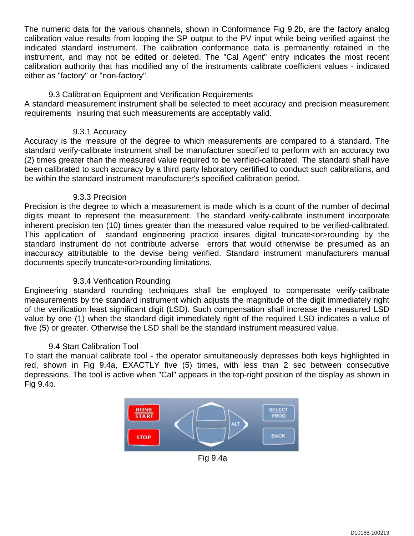The numeric data for the various channels, shown in Conformance Fig 9.2b, are the factory analog calibration value results from looping the SP output to the PV input while being verified against the indicated standard instrument. The calibration conformance data is permanently retained in the instrument, and may not be edited or deleted. The "Cal Agent" entry indicates the most recent calibration authority that has modified any of the instruments calibrate coefficient values - indicated either as "factory" or "non-factory".

# 9.3 Calibration Equipment and Verification Requirements

A standard measurement instrument shall be selected to meet accuracy and precision measurement requirements insuring that such measurements are acceptably valid.

# 9.3.1 Accuracy

Accuracy is the measure of the degree to which measurements are compared to a standard. The standard verify-calibrate instrument shall be manufacturer specified to perform with an accuracy two (2) times greater than the measured value required to be verified-calibrated. The standard shall have been calibrated to such accuracy by a third party laboratory certified to conduct such calibrations, and be within the standard instrument manufacturer's specified calibration period.

# 9.3.3 Precision

Precision is the degree to which a measurement is made which is a count of the number of decimal digits meant to represent the measurement. The standard verify-calibrate instrument incorporate inherent precision ten (10) times greater than the measured value required to be verified-calibrated. This application of standard engineering practice insures digital truncate<or>rounding by the standard instrument do not contribute adverse errors that would otherwise be presumed as an inaccuracy attributable to the devise being verified. Standard instrument manufacturers manual documents specify truncate<or>rounding limitations.

# 9.3.4 Verification Rounding

Engineering standard rounding techniques shall be employed to compensate verify-calibrate measurements by the standard instrument which adjusts the magnitude of the digit immediately right of the verification least significant digit (LSD). Such compensation shall increase the measured LSD value by one (1) when the standard digit immediately right of the required LSD indicates a value of five (5) or greater. Otherwise the LSD shall be the standard instrument measured value.

# 9.4 Start Calibration Tool

To start the manual calibrate tool - the operator simultaneously depresses both keys highlighted in red, shown in Fig 9.4a, EXACTLY five (5) times, with less than 2 sec between consecutive depressions. The tool is active when "Cal" appears in the top-right position of the display as shown in Fig 9.4b.

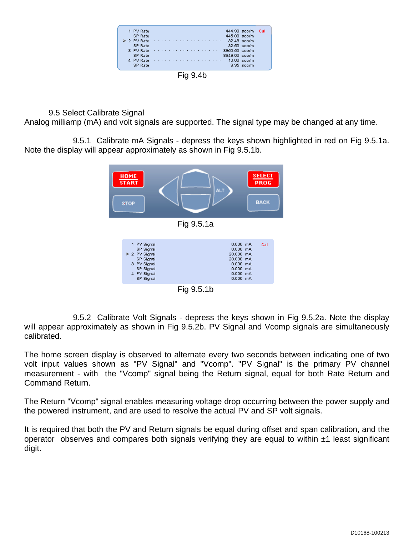

## 9.5 Select Calibrate Signal

Analog milliamp (mA) and volt signals are supported. The signal type may be changed at any time.

 9.5.1 Calibrate mA Signals - depress the keys shown highlighted in red on Fig 9.5.1a. Note the display will appear approximately as shown in Fig 9.5.1b.





 9.5.2 Calibrate Volt Signals - depress the keys shown in Fig 9.5.2a. Note the display will appear approximately as shown in Fig 9.5.2b. PV Signal and Vcomp signals are simultaneously calibrated.

The home screen display is observed to alternate every two seconds between indicating one of two volt input values shown as "PV Signal" and "Vcomp". "PV Signal" is the primary PV channel measurement - with the "Vcomp" signal being the Return signal, equal for both Rate Return and Command Return.

The Return "Vcomp" signal enables measuring voltage drop occurring between the power supply and the powered instrument, and are used to resolve the actual PV and SP volt signals.

It is required that both the PV and Return signals be equal during offset and span calibration, and the operator observes and compares both signals verifying they are equal to within  $\pm 1$  least significant digit.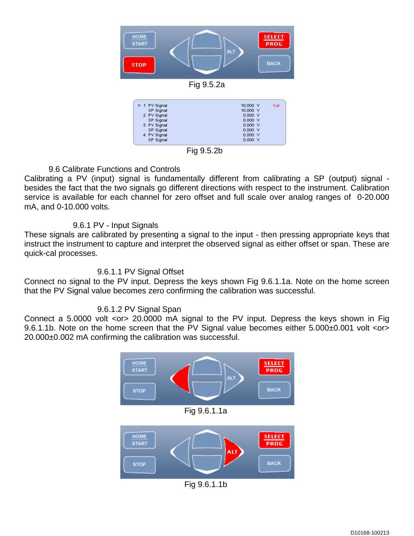

# 9.6 Calibrate Functions and Controls

Calibrating a PV (input) signal is fundamentally different from calibrating a SP (output) signal besides the fact that the two signals go different directions with respect to the instrument. Calibration service is available for each channel for zero offset and full scale over analog ranges of 0-20.000 mA, and 0-10.000 volts.

# 9.6.1 PV - Input Signals

These signals are calibrated by presenting a signal to the input - then pressing appropriate keys that instruct the instrument to capture and interpret the observed signal as either offset or span. These are quick-cal processes.

# 9.6.1.1 PV Signal Offset

Connect no signal to the PV input. Depress the keys shown Fig 9.6.1.1a. Note on the home screen that the PV Signal value becomes zero confirming the calibration was successful.

# 9.6.1.2 PV Signal Span

Connect a 5.0000 volt <or> 20.0000 mA signal to the PV input. Depress the keys shown in Fig 9.6.1.1b. Note on the home screen that the PV Signal value becomes either 5.000±0.001 volt <or> 20.000±0.002 mA confirming the calibration was successful.



Fig 9.6.1.1b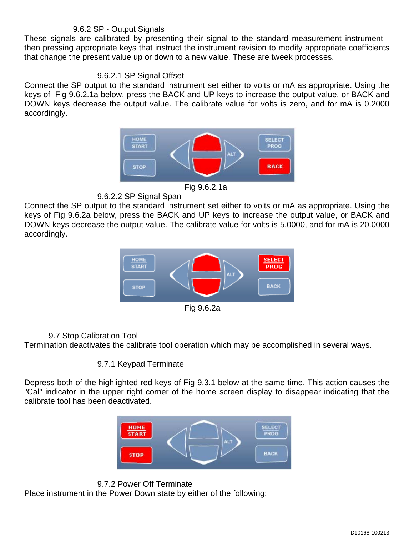# 9.6.2 SP - Output Signals

These signals are calibrated by presenting their signal to the standard measurement instrument then pressing appropriate keys that instruct the instrument revision to modify appropriate coefficients that change the present value up or down to a new value. These are tweek processes.

# 9.6.2.1 SP Signal Offset

Connect the SP output to the standard instrument set either to volts or mA as appropriate. Using the keys of Fig 9.6.2.1a below, press the BACK and UP keys to increase the output value, or BACK and DOWN keys decrease the output value. The calibrate value for volts is zero, and for mA is 0.2000 accordingly.



Fig 9.6.2.1a



Connect the SP output to the standard instrument set either to volts or mA as appropriate. Using the keys of Fig 9.6.2a below, press the BACK and UP keys to increase the output value, or BACK and DOWN keys decrease the output value. The calibrate value for volts is 5.0000, and for mA is 20.0000 accordingly.



# 9.7 Stop Calibration Tool

Termination deactivates the calibrate tool operation which may be accomplished in several ways.

# 9.7.1 Keypad Terminate

Depress both of the highlighted red keys of Fig 9.3.1 below at the same time. This action causes the "Cal" indicator in the upper right corner of the home screen display to disappear indicating that the calibrate tool has been deactivated.



9.7.2 Power Off Terminate

Place instrument in the Power Down state by either of the following: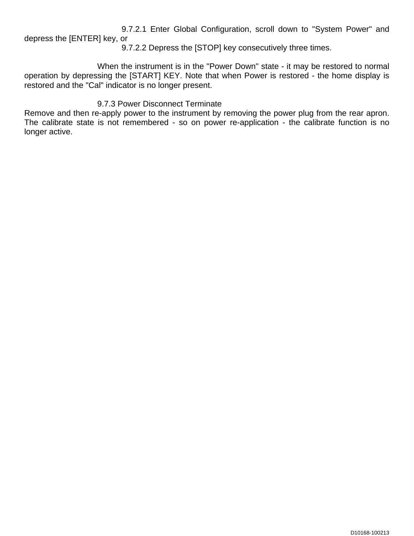9.7.2.1 Enter Global Configuration, scroll down to "System Power" and depress the [ENTER] key, or

9.7.2.2 Depress the [STOP] key consecutively three times.

 When the instrument is in the "Power Down" state - it may be restored to normal operation by depressing the [START] KEY. Note that when Power is restored - the home display is restored and the "Cal" indicator is no longer present.

# 9.7.3 Power Disconnect Terminate

Remove and then re-apply power to the instrument by removing the power plug from the rear apron. The calibrate state is not remembered - so on power re-application - the calibrate function is no longer active.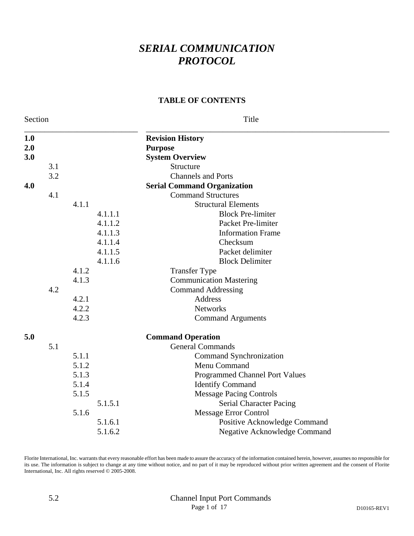# *SERIAL COMMUNICATION PROTOCOL*

#### **TABLE OF CONTENTS**

Section Title \_\_\_\_\_\_\_\_\_\_\_\_\_\_\_\_\_\_\_\_\_\_\_\_\_\_\_\_ \_\_\_\_\_\_\_\_\_\_\_\_\_\_\_\_\_\_\_\_\_\_\_\_\_\_\_\_\_\_\_\_\_\_\_\_\_\_\_\_\_\_\_\_\_\_\_\_\_\_\_\_\_\_\_\_\_\_\_\_ **1.0 Revision History 2.0 Purpose 3.0 System Overview** 3.1 Structure 3.2 Channels and Ports **4.0 Serial Command Organization** 4.1 Command Structures 4.1.1 Structural Elements 4.1.1.1 Block Pre-limiter 4.1.1.2 Packet Pre-limiter 4.1.1.3 Information Frame 4.1.1.4 Checksum 4.1.1.5 Packet delimiter 4.1.1.6 Block Delimiter 4.1.2 Transfer Type 4.1.3 Communication Mastering 4.2 Command Addressing 4.2.1 Address 4.2.2 Networks 4.2.3 Command Arguments **5.0 Command Operation**  5.1 General Commands 5.1.1 Command Synchronization 5.1.2 Menu Command 5.1.3 Programmed Channel Port Values 5.1.4 Identify Command 5.1.5 Message Pacing Controls 5.1.5.1 Serial Character Pacing 5.1.6 Message Error Control 5.1.6.1 Positive Acknowledge Command 5.1.6.2 Negative Acknowledge Command

Florite International, Inc. warrants that every reasonable effort has been made to assure the accuracy of the information contained herein, however, assumes no responsible for its use. The information is subject to change at any time without notice, and no part of it may be reproduced without prior written agreement and the consent of Florite International, Inc. All rights reserved © 2005-2008.

| <b>Channel Input Port Commands</b> |
|------------------------------------|
| Page 1 of 17                       |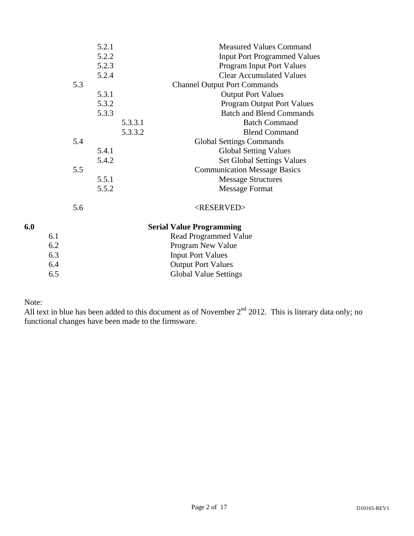|     |     |     | 5.2.1 |         | <b>Measured Values Command</b>      |
|-----|-----|-----|-------|---------|-------------------------------------|
|     |     |     | 5.2.2 |         | <b>Input Port Programmed Values</b> |
|     |     |     | 5.2.3 |         | Program Input Port Values           |
|     |     |     | 5.2.4 |         | <b>Clear Accumulated Values</b>     |
|     |     | 5.3 |       |         | <b>Channel Output Port Commands</b> |
|     |     |     | 5.3.1 |         | <b>Output Port Values</b>           |
|     |     |     | 5.3.2 |         | <b>Program Output Port Values</b>   |
|     |     |     | 5.3.3 |         | <b>Batch and Blend Commands</b>     |
|     |     |     |       | 5.3.3.1 | <b>Batch Command</b>                |
|     |     |     |       | 5.3.3.2 | <b>Blend Command</b>                |
|     |     | 5.4 |       |         | <b>Global Settings Commands</b>     |
|     |     |     | 5.4.1 |         | <b>Global Setting Values</b>        |
|     |     |     | 5.4.2 |         | <b>Set Global Settings Values</b>   |
|     |     | 5.5 |       |         | <b>Communication Message Basics</b> |
|     |     |     | 5.5.1 |         | <b>Message Structures</b>           |
|     |     |     | 5.5.2 |         | <b>Message Format</b>               |
|     |     | 5.6 |       |         | <reserved></reserved>               |
| 6.0 |     |     |       |         | <b>Serial Value Programming</b>     |
|     | 6.1 |     |       |         | <b>Read Programmed Value</b>        |
|     | 6.2 |     |       |         | Program New Value                   |
|     | 6.3 |     |       |         | <b>Input Port Values</b>            |
|     | 6.4 |     |       |         | <b>Output Port Values</b>           |
|     | 6.5 |     |       |         | <b>Global Value Settings</b>        |

Note:

All text in blue has been added to this document as of November  $2<sup>nd</sup>$  2012. This is literary data only; no functional changes have been made to the firmsware.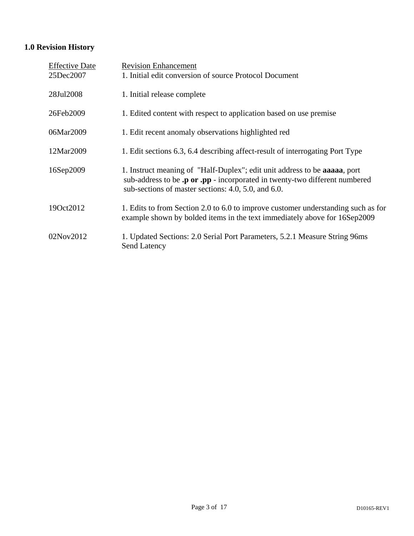# **1.0 Revision History**

| <b>Effective Date</b> | <b>Revision Enhancement</b>                                                                                                                                                                                             |
|-----------------------|-------------------------------------------------------------------------------------------------------------------------------------------------------------------------------------------------------------------------|
| 25Dec2007             | 1. Initial edit conversion of source Protocol Document                                                                                                                                                                  |
| 28Jul2008             | 1. Initial release complete                                                                                                                                                                                             |
| 26Feb2009             | 1. Edited content with respect to application based on use premise                                                                                                                                                      |
| 06Mar2009             | 1. Edit recent anomaly observations highlighted red                                                                                                                                                                     |
| 12Mar2009             | 1. Edit sections 6.3, 6.4 describing affect-result of interrogating Port Type                                                                                                                                           |
| 16Sep2009             | 1. Instruct meaning of "Half-Duplex"; edit unit address to be <b>aaaaa</b> , port<br>sub-address to be .p or .pp - incorporated in twenty-two different numbered<br>sub-sections of master sections: 4.0, 5.0, and 6.0. |
| 19Oct2012             | 1. Edits to from Section 2.0 to 6.0 to improve customer understanding such as for<br>example shown by bolded items in the text immediately above for 16Sep2009                                                          |
| 02Nov2012             | 1. Updated Sections: 2.0 Serial Port Parameters, 5.2.1 Measure String 96ms<br>Send Latency                                                                                                                              |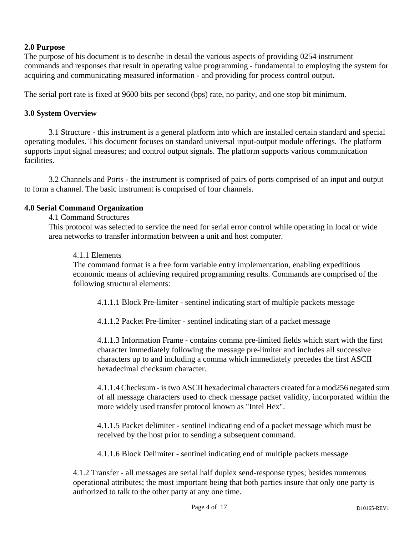# **2.0 Purpose**

The purpose of his document is to describe in detail the various aspects of providing 0254 instrument commands and responses that result in operating value programming - fundamental to employing the system for acquiring and communicating measured information - and providing for process control output.

The serial port rate is fixed at 9600 bits per second (bps) rate, no parity, and one stop bit minimum.

## **3.0 System Overview**

 3.1 Structure - this instrument is a general platform into which are installed certain standard and special operating modules. This document focuses on standard universal input-output module offerings. The platform supports input signal measures; and control output signals. The platform supports various communication facilities.

 3.2 Channels and Ports - the instrument is comprised of pairs of ports comprised of an input and output to form a channel. The basic instrument is comprised of four channels.

#### **4.0 Serial Command Organization**

# 4.1 Command Structures

This protocol was selected to service the need for serial error control while operating in local or wide area networks to transfer information between a unit and host computer.

#### 4.1.1 Elements

The command format is a free form variable entry implementation, enabling expeditious economic means of achieving required programming results. Commands are comprised of the following structural elements:

4.1.1.1 Block Pre-limiter - sentinel indicating start of multiple packets message

4.1.1.2 Packet Pre-limiter - sentinel indicating start of a packet message

4.1.1.3 Information Frame - contains comma pre-limited fields which start with the first character immediately following the message pre-limiter and includes all successive characters up to and including a comma which immediately precedes the first ASCII hexadecimal checksum character.

4.1.1.4 Checksum - is two ASCII hexadecimal characters created for a mod256 negated sum of all message characters used to check message packet validity, incorporated within the more widely used transfer protocol known as "Intel Hex".

4.1.1.5 Packet delimiter - sentinel indicating end of a packet message which must be received by the host prior to sending a subsequent command.

4.1.1.6 Block Delimiter - sentinel indicating end of multiple packets message

4.1.2 Transfer - all messages are serial half duplex send-response types; besides numerous operational attributes; the most important being that both parties insure that only one party is authorized to talk to the other party at any one time.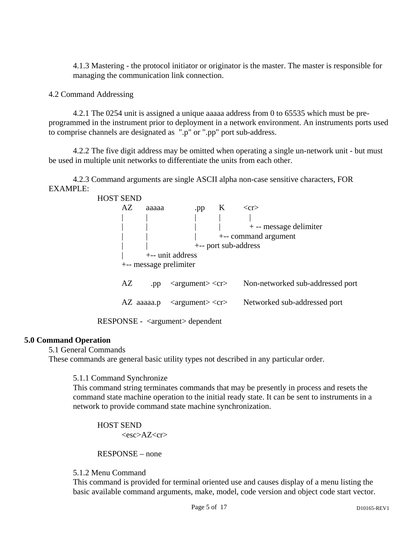4.1.3 Mastering - the protocol initiator or originator is the master. The master is responsible for managing the communication link connection.

#### 4.2 Command Addressing

4.2.1 The 0254 unit is assigned a unique aaaaa address from 0 to 65535 which must be preprogrammed in the instrument prior to deployment in a network environment. An instruments ports used to comprise channels are designated as ".p" or ".pp" port sub-address.

4.2.2 The five digit address may be omitted when operating a single un-network unit - but must be used in multiple unit networks to differentiate the units from each other.

4.2.3 Command arguments are single ASCII alpha non-case sensitive characters, FOR EXAMPLE:

|                        | <b>HOST SEND</b>     |       |                                                     |   |                                  |  |  |  |  |
|------------------------|----------------------|-------|-----------------------------------------------------|---|----------------------------------|--|--|--|--|
|                        | AZ                   | ааааа | .pp                                                 | K | $<$ cr $>$                       |  |  |  |  |
|                        |                      |       |                                                     |   |                                  |  |  |  |  |
|                        |                      |       |                                                     |   | + -- message delimiter           |  |  |  |  |
|                        |                      |       |                                                     |   | +-- command argument             |  |  |  |  |
|                        | +-- port sub-address |       |                                                     |   |                                  |  |  |  |  |
| $+-$ unit address      |                      |       |                                                     |   |                                  |  |  |  |  |
| +-- message prelimiter |                      |       |                                                     |   |                                  |  |  |  |  |
|                        | AZ                   | .pp   | $\langle$ argument $\rangle \langle$ cr $\rangle$   |   | Non-networked sub-addressed port |  |  |  |  |
|                        | $AZ$ aaaaa.p         |       | $\langle$ argument $\rangle$ $\langle$ cr $\rangle$ |   | Networked sub-addressed port     |  |  |  |  |
|                        |                      |       | $RESPONSE - \langle argument \rangle$ dependent     |   |                                  |  |  |  |  |

#### **5.0 Command Operation**

5.1 General Commands

These commands are general basic utility types not described in any particular order.

5.1.1 Command Synchronize

This command string terminates commands that may be presently in process and resets the command state machine operation to the initial ready state. It can be sent to instruments in a network to provide command state machine synchronization.

HOST SEND  $<$ esc>AZ $<$ cr>

#### RESPONSE – none

5.1.2 Menu Command

This command is provided for terminal oriented use and causes display of a menu listing the basic available command arguments, make, model, code version and object code start vector.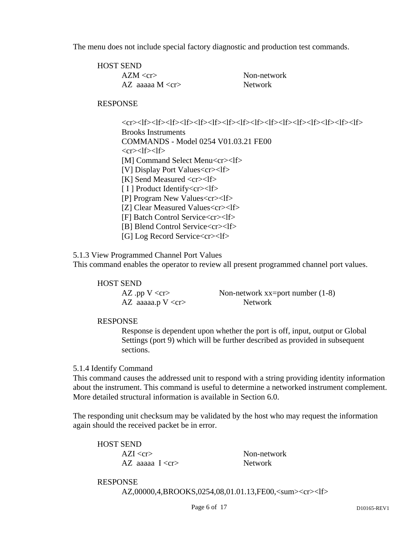The menu does not include special factory diagnostic and production test commands.

| <b>HOST SEND</b>                  |             |
|-----------------------------------|-------------|
| A Z M < c r                       | Non-network |
| AZ aaaaa M $\langle$ cr $\rangle$ | Network     |

#### RESPONSE

<cr><lf><lf><lf><lf><lf><lf><lf><lf><lf><lf><lf><lf><lf><lf><lf><lf> Brooks Instruments COMMANDS - Model 0254 V01.03.21 FE00  $<$ cr $>$  $<$ lf $>$  $<$ lf $>$ [M] Command Select Menu<cr><lf> [V] Display Port Values<cr><lf>  $[K]$  Send Measured  $\langle cr \rangle \langle l \rangle$  [ I ] Product Identify<cr><lf> [P] Program New Values<cr><lf> [Z] Clear Measured Values<cr><lf> [F] Batch Control Service<cr><lf> [B] Blend Control Service<cr><lf> [G] Log Record Service<cr><lf>

5.1.3 View Programmed Channel Port Values

This command enables the operator to review all present programmed channel port values.

#### HOST SEND

AZ aaaaa.p V <cr> Network

AZ .pp  $V \ll cr$  Non-network xx=port number (1-8)

#### RESPONSE

Response is dependent upon whether the port is off, input, output or Global Settings (port 9) which will be further described as provided in subsequent sections.

#### 5.1.4 Identify Command

This command causes the addressed unit to respond with a string providing identity information about the instrument. This command is useful to determine a networked instrument complement. More detailed structural information is available in Section 6.0.

The responding unit checksum may be validated by the host who may request the information again should the received packet be in error.

HOST SEND AZI <cr> Non-network AZ aaaaa I <cr>  $\leq$  Network

RESPONSE

AZ,00000,4,BROOKS,0254,08,01.01.13,FE00,<sum><cr><lf>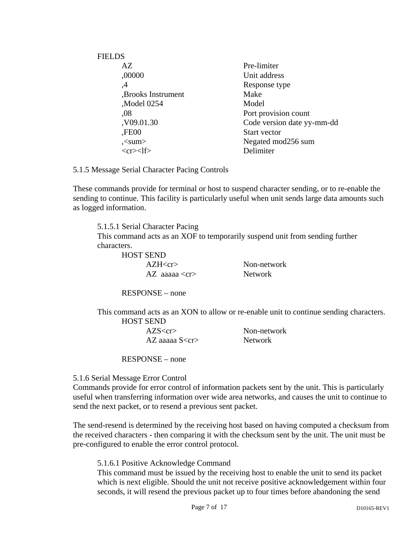FIELDS AZ Pre-limiter ,00000 Unit address ,4 Response type Brooks Instrument Make Model 0254 Model ,08 Port provision count ,V09.01.30 Code version date yy-mm-dd ,FE00 Start vector ,<sum> Negated mod256 sum <cr><lf> Delimiter

5.1.5 Message Serial Character Pacing Controls

These commands provide for terminal or host to suspend character sending, or to re-enable the sending to continue. This facility is particularly useful when unit sends large data amounts such as logged information.

5.1.5.1 Serial Character Pacing This command acts as an XOF to temporarily suspend unit from sending further characters. HOST SEND AZH<cr> Non-network AZ aaaaa <cr> Network

RESPONSE – none

This command acts as an XON to allow or re-enable unit to continue sending characters. HOST SEND

| AZS < c <b>rs</b>      |  |
|------------------------|--|
| $AZ$ aaaaa $S < c r >$ |  |

Non-network Network

RESPONSE – none

5.1.6 Serial Message Error Control

Commands provide for error control of information packets sent by the unit. This is particularly useful when transferring information over wide area networks, and causes the unit to continue to send the next packet, or to resend a previous sent packet.

The send-resend is determined by the receiving host based on having computed a checksum from the received characters - then comparing it with the checksum sent by the unit. The unit must be pre-configured to enable the error control protocol.

5.1.6.1 Positive Acknowledge Command

This command must be issued by the receiving host to enable the unit to send its packet which is next eligible. Should the unit not receive positive acknowledgement within four seconds, it will resend the previous packet up to four times before abandoning the send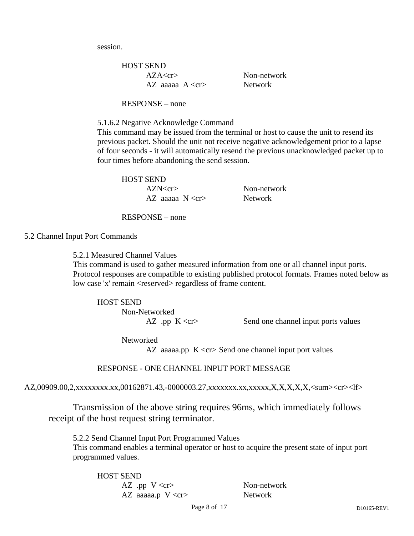session.

| <b>HOST SEND</b>    |                |
|---------------------|----------------|
| AZA < cr>           | Non-netw       |
| AZ aaaaa $A \ll cr$ | <b>Network</b> |

Non-network

## RESPONSE – none

5.1.6.2 Negative Acknowledge Command

This command may be issued from the terminal or host to cause the unit to resend its previous packet. Should the unit not receive negative acknowledgement prior to a lapse of four seconds - it will automatically resend the previous unacknowledged packet up to four times before abandoning the send session.

 HOST SEND AZN<cr> Non-network AZ aaaaa N <cr> Network

RESPONSE – none

5.2 Channel Input Port Commands

5.2.1 Measured Channel Values

This command is used to gather measured information from one or all channel input ports. Protocol responses are compatible to existing published protocol formats. Frames noted below as low case 'x' remain <reserved> regardless of frame content.

HOST SEND

Non-Networked

 $AZ$  .pp  $K \langle cr \rangle$  Send one channel input ports values

Networked

AZ aaaaa.pp  $K \langle cr \rangle$  Send one channel input port values

RESPONSE - ONE CHANNEL INPUT PORT MESSAGE

AZ,00909.00,2,xxxxxx.xx,00162871.43,-0000003.27,xxxxxx.xx,xxxxx,X,X,X,X,X,X,<sum><cr><lf>

 Transmission of the above string requires 96ms, which immediately follows receipt of the host request string terminator.

5.2.2 Send Channel Input Port Programmed Values This command enables a terminal operator or host to acquire the present state of input port programmed values.

 HOST SEND  $AZ$  .pp  $V \leq cr$  Non-network AZ aaaaa.p V <cr> Network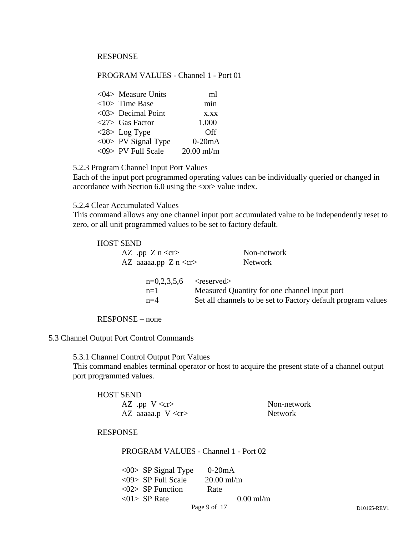#### RESPONSE

#### PROGRAM VALUES - Channel 1 - Port 01

| $<$ 04> Measure Units               | ml           |
|-------------------------------------|--------------|
| $<10$ > Time Base                   | min          |
| $<$ 03> Decimal Point               | X.XX         |
| $\langle 27 \rangle$ Gas Factor     | 1.000        |
| $<$ 28> Log Type                    | Off          |
| $\langle 00 \rangle$ PV Signal Type | $0-20mA$     |
| $<$ 09> PV Full Scale               | $20.00$ ml/m |

5.2.3 Program Channel Input Port Values

Each of the input port programmed operating values can be individually queried or changed in accordance with Section 6.0 using the <xx> value index.

5.2.4 Clear Accumulated Values

This command allows any one channel input port accumulated value to be independently reset to zero, or all unit programmed values to be set to factory default.

| <b>HOST SEND</b>                       |                                                                                                                                  |
|----------------------------------------|----------------------------------------------------------------------------------------------------------------------------------|
| AZ .pp $Z$ n $\langle cr \rangle$      | Non-network                                                                                                                      |
| AZ aaaaa.pp $Z$ n $\langle cr \rangle$ | <b>Network</b>                                                                                                                   |
| $n=0,2,3,5,6$<br>$n=1$<br>$n=4$        | $<$ reserved $>$<br>Measured Quantity for one channel input port<br>Set all channels to be set to Factory default program values |

RESPONSE – none

#### 5.3 Channel Output Port Control Commands

5.3.1 Channel Control Output Port Values

This command enables terminal operator or host to acquire the present state of a channel output port programmed values.

| <b>HOST SEND</b>      |             |
|-----------------------|-------------|
| AZ .pp $V \ll cr$     | Non-network |
| AZ aaaaa.p $V \ll cr$ | Network     |

#### RESPONSE

## PROGRAM VALUES - Channel 1 - Port 02

|                  | $\langle 00 \rangle$ SP Signal Type | 0-20mA       |             |
|------------------|-------------------------------------|--------------|-------------|
|                  | $<$ 09> SP Full Scale               | $20.00$ ml/m |             |
|                  | $<$ 02> SP Function                 | Rate         |             |
| $<$ 01 > SP Rate |                                     |              | $0.00$ ml/m |
|                  |                                     |              |             |

Page 9 of 17 D10165-REV1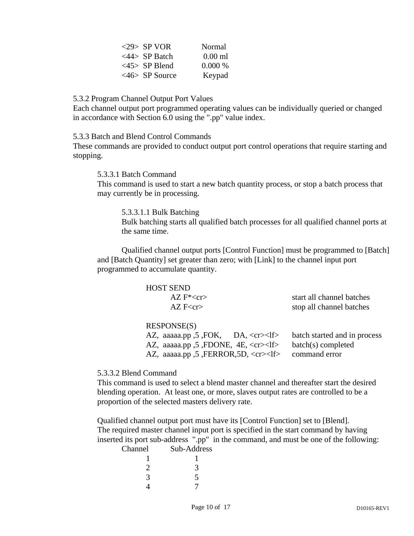| $\langle 29 \rangle$ SP VOR    | Normal    |
|--------------------------------|-----------|
| $\langle 44 \rangle$ SP Batch  | $0.00$ ml |
| $\langle 45 \rangle$ SP Blend  | $0.000\%$ |
| $\langle 46 \rangle$ SP Source | Keypad    |

5.3.2 Program Channel Output Port Values

Each channel output port programmed operating values can be individually queried or changed in accordance with Section 6.0 using the ".pp" value index.

#### 5.3.3 Batch and Blend Control Commands

These commands are provided to conduct output port control operations that require starting and stopping.

5.3.3.1 Batch Command This command is used to start a new batch quantity process, or stop a batch process that may currently be in processing.

 5.3.3.1.1 Bulk Batching Bulk batching starts all qualified batch processes for all qualified channel ports at the same time.

 Qualified channel output ports [Control Function] must be programmed to [Batch] and [Batch Quantity] set greater than zero; with [Link] to the channel input port programmed to accumulate quantity.

| <b>HOST SEND</b><br>AZ $F^*<$ cr><br>AZ F < cr>                    | start all channel batches<br>stop all channel batches |
|--------------------------------------------------------------------|-------------------------------------------------------|
| <b>RESPONSE(S)</b>                                                 |                                                       |
| AZ, aaaaa.pp $\mathcal{F}$ , FOK, DA, $\langle$ cr $>1$ f $>$      | batch started and in process                          |
| AZ, aaaaa.pp $\alpha$ , FDONE, 4E, <cr> <lf></lf></cr>             | batch(s) completed                                    |
| AZ, aaaaa.pp ,5 ,FERROR,5D, $\langle cr \rangle \langle l \rangle$ | command error                                         |

#### 5.3.3.2 Blend Command

This command is used to select a blend master channel and thereafter start the desired blending operation. At least one, or more, slaves output rates are controlled to be a proportion of the selected masters delivery rate.

 Qualified channel output port must have its [Control Function] set to [Blend]. The required master channel input port is specified in the start command by having inserted its port sub-address ".pp" in the command, and must be one of the following:

| Channel | Sub-Address |
|---------|-------------|
|         |             |
|         |             |
|         |             |
|         |             |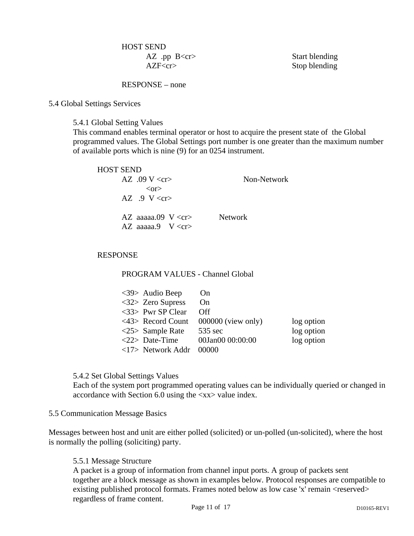HOST SEND AZ .pp B<cr>
Start blending AZF<cr>Stop blending

RESPONSE – none

5.4 Global Settings Services

5.4.1 Global Setting Values

This command enables terminal operator or host to acquire the present state of the Global programmed values. The Global Settings port number is one greater than the maximum number of available ports which is nine (9) for an 0254 instrument.

| <b>HOST SEND</b>               |             |
|--------------------------------|-------------|
| AZ $.09 \text{ V} \ll r$       | Non-Network |
| $\langle$ or $>$               |             |
| AZ $.9 \text{ V} \ll r$        |             |
|                                |             |
| AZ aaaaa. $09 \text{ V} \ll r$ | Network     |
| $\Delta Z$ agaaa.9 $V \ll cr$  |             |

#### RESPONSE

PROGRAM VALUES - Channel Global

| $\langle 39 \rangle$ Audio Beep   | On                   |            |
|-----------------------------------|----------------------|------------|
| $\langle 32 \rangle$ Zero Supress | On                   |            |
| $<$ 33> Pwr SP Clear              | Off                  |            |
| $\langle 43 \rangle$ Record Count | $000000$ (view only) | log option |
| $\langle 25 \rangle$ Sample Rate  | 535 sec              | log option |
| $<22$ > Date-Time                 | 00Jan00 00:00:00     | log option |
| $\langle 17 \rangle$ Network Addr | 00000                |            |

#### 5.4.2 Set Global Settings Values

Each of the system port programmed operating values can be individually queried or changed in accordance with Section 6.0 using the <xx> value index.

#### 5.5 Communication Message Basics

Messages between host and unit are either polled (solicited) or un-polled (un-solicited), where the host is normally the polling (soliciting) party.

#### 5.5.1 Message Structure

 A packet is a group of information from channel input ports. A group of packets sent together are a block message as shown in examples below. Protocol responses are compatible to existing published protocol formats. Frames noted below as low case 'x' remain <reserved> regardless of frame content.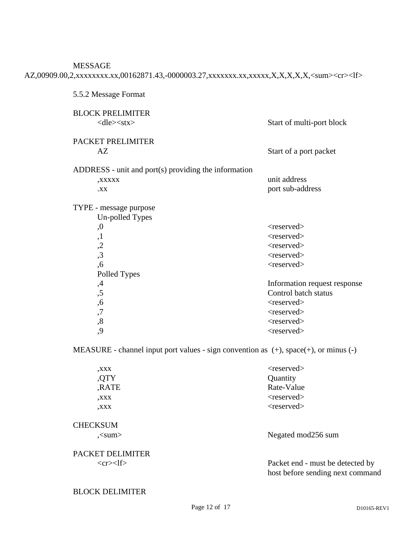#### MESSAGE

AZ,00909.00,2,xxxxxx.xx,xx,00162871.43,-0000003.27,xxxxxx.xx,xxxxx,X,X,X,X,X,X,<sum><cr><lf>

| 5.5.2 Message Format                                      |                              |
|-----------------------------------------------------------|------------------------------|
| <b>BLOCK PRELIMITER</b><br>$<$ dle> $<$ stx>              | Start of multi-port block    |
| PACKET PRELIMITER                                         |                              |
| AZ                                                        | Start of a port packet       |
| $ADDRESS$ - unit and port $(s)$ providing the information |                              |
| ,XXXXX                                                    | unit address                 |
| .XX                                                       | port sub-address             |
| TYPE - message purpose                                    |                              |
| <b>Un-polled Types</b>                                    |                              |
| ,0                                                        | <reserved></reserved>        |
| ,1                                                        | <reserved></reserved>        |
| $\frac{1}{3}$                                             | <reserved></reserved>        |
|                                                           | <reserved></reserved>        |
| ,6                                                        | <reserved></reserved>        |
| Polled Types                                              |                              |
| ,4                                                        | Information request response |
| ,5                                                        | Control batch status         |
| ,6                                                        | $<$ reserved $>$             |
| ,7                                                        | <reserved></reserved>        |
| ,8                                                        | <reserved></reserved>        |
| ,9                                                        | <reserved></reserved>        |
|                                                           |                              |

MEASURE - channel input port values - sign convention as (+), space(+), or minus (-)

| ,XXX                                    | $<$ reserved $>$                 |
|-----------------------------------------|----------------------------------|
| ,QTY                                    | Quantity                         |
| ,RATE                                   | Rate-Value                       |
| ,XXX                                    | $<$ reserved $>$                 |
| ,XXX                                    | $<$ reserved $>$                 |
| <b>CHECKSUM</b><br>$\le$ sum $>$        | Negated mod256 sum               |
| <b>PACKET DELIMITER</b>                 |                                  |
| $\langle cr \rangle \langle df \rangle$ | Packet end - must be detected by |
|                                         | host before sending next command |

## BLOCK DELIMITER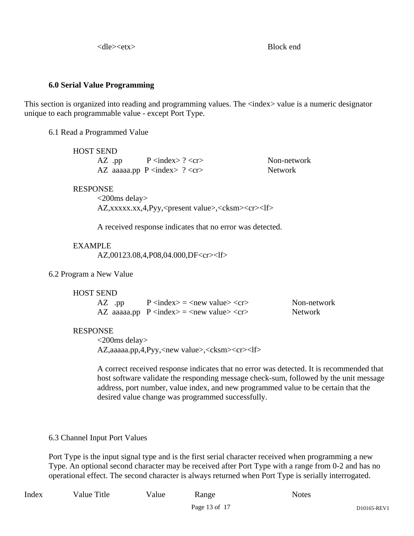<dle><etx> Block end

# **6.0 Serial Value Programming**

This section is organized into reading and programming values. The  $\langle$ index $\rangle$  value is a numeric designator unique to each programmable value - except Port Type.

6.1 Read a Programmed Value

## HOST SEND

| AZ .pp | $P$ <index> ? <cr></cr></index>                          |  |
|--------|----------------------------------------------------------|--|
|        | AZ aaaaa.pp $P$ <index> <math>?</math> <cr></cr></index> |  |

Non-network Network

## RESPONSE

 <200ms delay> AZ, xxxxx.xx, 4, Pyy, <present value>, <cksm><cr>><clf>

A received response indicates that no error was detected.

# EXAMPLE

AZ,00123.08,4,P08,04.000,DF<cr><lf>

# 6.2 Program a New Value

# HOST SEND

| $AZ$ .pp | $P \times \text{index}$ = $\text{new value}$ $\text{error}$ | Non-network |
|----------|-------------------------------------------------------------|-------------|
|          |                                                             | Network     |

# RESPONSE

 <200ms delay> AZ,aaaaa.pp,4,Pyy,<new value>,<cksm><cr>><<lf>

 A correct received response indicates that no error was detected. It is recommended that host software validate the responding message check-sum, followed by the unit message address, port number, value index, and new programmed value to be certain that the desired value change was programmed successfully.

# 6.3 Channel Input Port Values

Port Type is the input signal type and is the first serial character received when programming a new Type. An optional second character may be received after Port Type with a range from 0-2 and has no operational effect. The second character is always returned when Port Type is serially interrogated.

| Index | Value Title | Value | Range | <b>Notes</b> |
|-------|-------------|-------|-------|--------------|
|-------|-------------|-------|-------|--------------|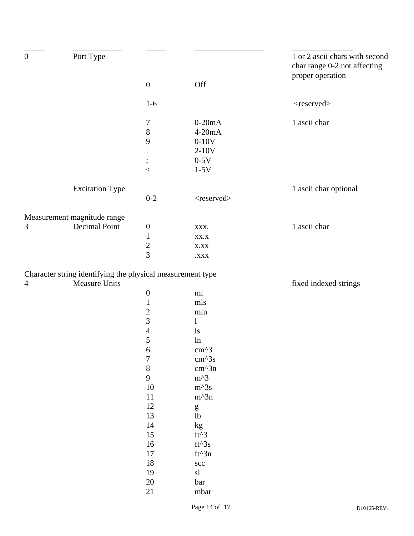| $\overline{0}$ | Port Type                                                  |                  |                                   | 1 or 2 ascii chars with second<br>char range 0-2 not affecting<br>proper operation |
|----------------|------------------------------------------------------------|------------------|-----------------------------------|------------------------------------------------------------------------------------|
|                |                                                            | $\boldsymbol{0}$ | Off                               |                                                                                    |
|                |                                                            | $1-6$            |                                   | <reserved></reserved>                                                              |
|                |                                                            | 7                | $0-20mA$                          | 1 ascii char                                                                       |
|                |                                                            | $8\,$            | $4-20mA$                          |                                                                                    |
|                |                                                            | 9                | $0-10V$                           |                                                                                    |
|                |                                                            |                  | $2-10V$                           |                                                                                    |
|                |                                                            | $\vdots$         | $0-5V$                            |                                                                                    |
|                |                                                            | $\,<$            | $1-5V$                            |                                                                                    |
|                | <b>Excitation Type</b>                                     |                  |                                   | 1 ascii char optional                                                              |
|                |                                                            | $0 - 2$          | <reserved></reserved>             |                                                                                    |
|                | Measurement magnitude range                                |                  |                                   |                                                                                    |
| 3              | Decimal Point                                              | $\boldsymbol{0}$ | XXX.                              | 1 ascii char                                                                       |
|                |                                                            | $\mathbf{1}$     | XX.X                              |                                                                                    |
|                |                                                            | $\sqrt{2}$       | $\mathbf{X}.\mathbf{X}\mathbf{X}$ |                                                                                    |
|                |                                                            | $\overline{3}$   | $_{\rm \bf XXX}$                  |                                                                                    |
|                | Character string identifying the physical measurement type |                  |                                   |                                                                                    |
| 4              | <b>Measure Units</b>                                       |                  |                                   | fixed indexed strings                                                              |
|                |                                                            | $\boldsymbol{0}$ | ml                                |                                                                                    |
|                |                                                            | $\mathbf{1}$     | mls                               |                                                                                    |
|                |                                                            | $\overline{c}$   | mln                               |                                                                                    |
|                |                                                            | 3                | $\mathbf{1}$                      |                                                                                    |
|                |                                                            | $\overline{4}$   | $\lg$                             |                                                                                    |
|                |                                                            | 5                | ln                                |                                                                                    |
|                |                                                            | 6                | $cm^{3}$                          |                                                                                    |
|                |                                                            | $\overline{7}$   | cm^3s                             |                                                                                    |
|                |                                                            | $8\,$            | $cm^23n$                          |                                                                                    |
|                |                                                            | 9                | $m^{\wedge}3$                     |                                                                                    |
|                |                                                            | $10\,$           | $m^{\wedge}3s$                    |                                                                                    |
|                |                                                            | 11               | $m^{\wedge}3n$                    |                                                                                    |
|                |                                                            | 12               | ${\bf g}$                         |                                                                                    |
|                |                                                            | 13               | lb                                |                                                                                    |
|                |                                                            | $14\,$           | kg                                |                                                                                    |
|                |                                                            | 15               | $ft^{3}$                          |                                                                                    |
|                |                                                            | $16\,$           | ft^3s                             |                                                                                    |
|                |                                                            | 17               | ft^3n                             |                                                                                    |
|                |                                                            | $18\,$           | $\sec$                            |                                                                                    |
|                |                                                            | 19               | sl                                |                                                                                    |
|                |                                                            | $20\,$           | bar                               |                                                                                    |
|                |                                                            | 21               | mbar                              |                                                                                    |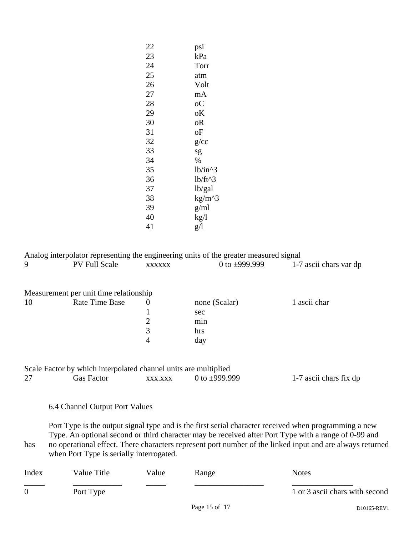| 22 | psi             |
|----|-----------------|
| 23 | kPa             |
| 24 | Torr            |
| 25 | atm             |
| 26 | Volt            |
| 27 | mA              |
| 28 | $_{0}C$         |
| 29 | оK              |
| 30 | $\overline{OR}$ |
| 31 | oF              |
| 32 | g/cc            |
| 33 | sg              |
| 34 | $\%$            |
| 35 | $lb/in^3$       |
| 36 | $lb/ft^{3}$     |
| 37 | lb/gal          |
| 38 | kg/m^3          |
| 39 | g/ml            |
| 40 | kg/l            |
| 41 | g/1             |
|    |                 |

| 9  | <b>PV Full Scale</b>                                                                                  | <b>XXXXXX</b>                             | Analog interpolator representing the engineering units of the greater measured signal<br>0 to $\pm$ 999.999 | 1-7 ascii chars var dp |  |
|----|-------------------------------------------------------------------------------------------------------|-------------------------------------------|-------------------------------------------------------------------------------------------------------------|------------------------|--|
|    | Measurement per unit time relationship                                                                |                                           |                                                                                                             |                        |  |
| 10 | <b>Rate Time Base</b>                                                                                 | $\theta$<br>1<br>$\overline{2}$<br>3<br>4 | none (Scalar)<br>sec<br>min<br>hrs<br>day                                                                   | 1 ascii char           |  |
| 27 | Scale Factor by which interpolated channel units are multiplied<br><b>Gas Factor</b>                  | XXX.XXX                                   | 0 to $\pm$ 999.999                                                                                          | 1-7 ascii chars fix dp |  |
|    | 6.4 Channel Output Port Values                                                                        |                                           |                                                                                                             |                        |  |
|    | Dort Type is the output signal type and is the first serial character received when programming a new |                                           |                                                                                                             |                        |  |

Port Type is the output signal type and is the first serial character received when programming a new Type. An optional second or third character may be received after Port Type with a range of 0-99 and has no operational effect. There characters represent port number of the linked input and are always returned when Port Type is serially interrogated.

| Index | Value Title | Value | Range         | <b>Notes</b>                         |
|-------|-------------|-------|---------------|--------------------------------------|
|       | Port Type   |       |               | 1 or 3 ascii chars with second       |
|       |             |       | Page 15 of 17 | D <sub>10165</sub> -REV <sub>1</sub> |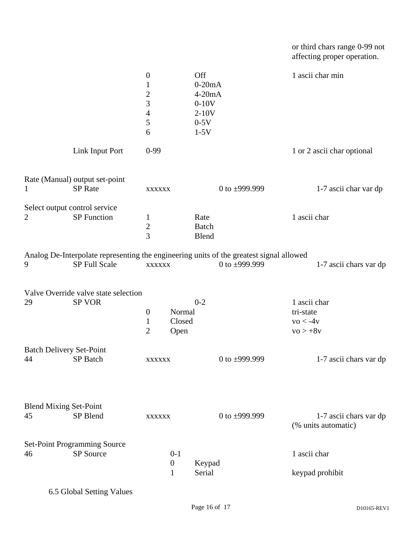## or third chars range 0-99 not affecting proper operation.

|                                                |                                      | $\boldsymbol{0}$<br>$\mathbf{1}$<br>$\overline{c}$<br>$\mathfrak{Z}$<br>$\overline{4}$<br>$\sqrt{5}$<br>6 | Off<br>$0-20mA$<br>$4-20mA$<br>$0-10V$<br>$2-10V$<br>$0-5V$<br>$1-5V$                                         | 1 ascii char min                                         |
|------------------------------------------------|--------------------------------------|-----------------------------------------------------------------------------------------------------------|---------------------------------------------------------------------------------------------------------------|----------------------------------------------------------|
|                                                | Link Input Port                      | $0-99$                                                                                                    |                                                                                                               | 1 or 2 ascii char optional                               |
| Rate (Manual) output set-point<br>$\mathbf{1}$ | SP Rate                              | <b>XXXXXX</b>                                                                                             | 0 to $\pm$ 999.999                                                                                            | 1-7 ascii char var dp                                    |
| Select output control service                  |                                      |                                                                                                           |                                                                                                               |                                                          |
| $\overline{2}$                                 | <b>SP</b> Function                   | $\mathbf{1}$<br>$\frac{2}{3}$                                                                             | Rate<br><b>Batch</b><br><b>Blend</b>                                                                          | 1 ascii char                                             |
| 9                                              | SP Full Scale                        | <b>XXXXXX</b>                                                                                             | Analog De-Interpolate representing the engineering units of the greatest signal allowed<br>0 to $\pm$ 999.999 | 1-7 ascii chars var dp                                   |
|                                                | Valve Override valve state selection |                                                                                                           |                                                                                                               |                                                          |
| 29                                             | <b>SP VOR</b>                        | $\boldsymbol{0}$<br>Normal<br>Closed<br>$\mathbf{1}$<br>$\overline{2}$<br>Open                            | $0 - 2$                                                                                                       | 1 ascii char<br>tri-state<br>$vo < -4v$<br>$vo$ > + $8v$ |
| <b>Batch Delivery Set-Point</b>                |                                      |                                                                                                           |                                                                                                               |                                                          |
| 44                                             | SP Batch                             | <b>XXXXXX</b>                                                                                             | 0 to $\pm$ 999.999                                                                                            | 1-7 ascii chars var dp                                   |
| <b>Blend Mixing Set-Point</b>                  |                                      |                                                                                                           |                                                                                                               |                                                          |
| 45                                             | SP Blend                             | <b>XXXXXX</b>                                                                                             | 0 to $\pm$ 999.999                                                                                            | 1-7 ascii chars var dp<br>(% units automatic)            |
| <b>Set-Point Programming Source</b>            |                                      |                                                                                                           |                                                                                                               |                                                          |
| 46                                             | <b>SP</b> Source                     | $0-1$<br>$\boldsymbol{0}$<br>1                                                                            | Keypad<br>Serial                                                                                              | 1 ascii char<br>keypad prohibit                          |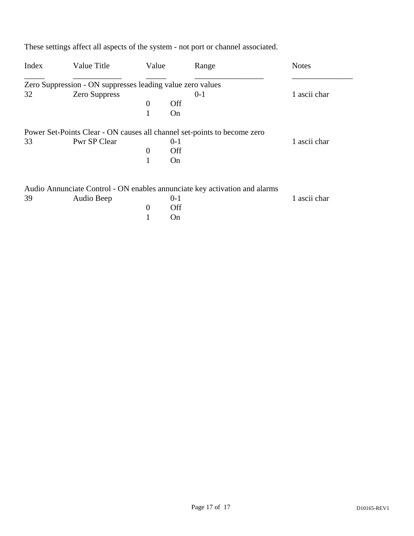| Index | Value Title                                                | Value          | Range                                                                      | <b>Notes</b> |
|-------|------------------------------------------------------------|----------------|----------------------------------------------------------------------------|--------------|
|       | Zero Suppression - ON suppresses leading value zero values |                |                                                                            |              |
| 32    | <b>Zero Suppress</b>                                       |                | $0-1$                                                                      | 1 ascii char |
|       |                                                            | $\theta$       | Off                                                                        |              |
|       |                                                            |                | On                                                                         |              |
|       |                                                            |                | Power Set-Points Clear - ON causes all channel set-points to become zero   |              |
| 33    | Pwr SP Clear                                               |                | $0 - 1$                                                                    | 1 ascii char |
|       |                                                            | $\overline{0}$ | <b>Off</b>                                                                 |              |
|       |                                                            |                | On                                                                         |              |
|       |                                                            |                | Audio Annunciate Control - ON enables annunciate key activation and alarms |              |
| 39    | Audio Beep                                                 |                | $0 - 1$                                                                    | 1 ascii char |
|       |                                                            | 0              | Off                                                                        |              |

These settings affect all aspects of the system - not port or channel associated.

1 On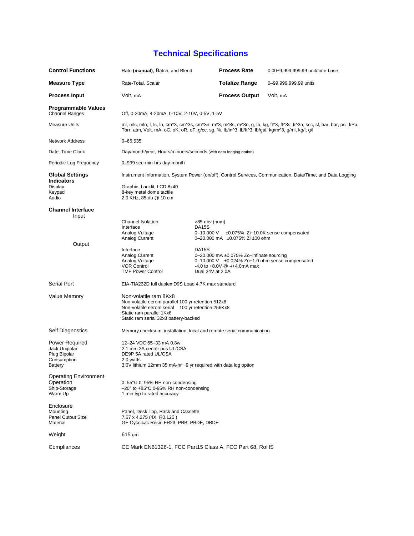# **Technical Specifications**

| <b>Control Functions</b>                                                         | Rate (manual), Batch, and Blend                                                                                                                                                                       |                                                     | <b>Process Rate</b>                                                        | 0.00±9,999,999.99 unit/time-base                                                                                          |  |
|----------------------------------------------------------------------------------|-------------------------------------------------------------------------------------------------------------------------------------------------------------------------------------------------------|-----------------------------------------------------|----------------------------------------------------------------------------|---------------------------------------------------------------------------------------------------------------------------|--|
| <b>Measure Type</b>                                                              | Rate-Total, Scalar                                                                                                                                                                                    |                                                     | <b>Totalize Range</b>                                                      | 0-99,999,999.99 units                                                                                                     |  |
| <b>Process Input</b>                                                             | Volt, mA                                                                                                                                                                                              |                                                     | <b>Process Output</b>                                                      | Volt, mA                                                                                                                  |  |
| <b>Programmable Values</b><br><b>Channel Ranges</b>                              | Off, 0-20mA, 4-20mA, 0-10V, 2-10V, 0-5V, 1-5V                                                                                                                                                         |                                                     |                                                                            |                                                                                                                           |  |
| <b>Measure Units</b>                                                             | Torr, atm, Volt, mA, oC, oK, oR, oF, g/cc, sg, %, lb/in^3, lb/ft^3, lb/gal, kg/m^3, g/ml, kg/l, g/l                                                                                                   |                                                     |                                                                            | ml, mls, mln, l, ls, ln, cm^3, cm^3s, cm^3n, m^3, m^3s, m^3n, g, lb, kg, ft^3, ft^3s, ft^3n, scc, sl, bar, bar, psi, kPa, |  |
| <b>Network Address</b>                                                           | $0 - 65,535$                                                                                                                                                                                          |                                                     |                                                                            |                                                                                                                           |  |
| Date-Time Clock                                                                  | Day/month/year, Hours/minuets/seconds (with data logging option)                                                                                                                                      |                                                     |                                                                            |                                                                                                                           |  |
| Periodic-Log Frequency                                                           | 0-999 sec-min-hrs-day-month                                                                                                                                                                           |                                                     |                                                                            |                                                                                                                           |  |
| <b>Global Settings</b><br><b>Indicators</b><br>Display<br>Keypad<br>Audio        | Graphic, backlit, LCD 8x40<br>8-key metal dome tactile<br>2.0 KHz, 85 db @ 10 cm                                                                                                                      |                                                     |                                                                            | Instrument Information, System Power (on/off), Control Services, Communication, Data/Time, and Data Logging               |  |
| <b>Channel Interface</b><br>Input<br>Output                                      | Channel Isolation<br>Interface<br>Analog Voltage<br>Analog Current<br>Interface<br>Analog Current                                                                                                     | >85 dbv (nom)<br><b>DA15S</b><br>DA <sub>15</sub> S | 0-20.000 mA ±0.075% Zi 100 ohm<br>0-20.000 mA ±0.075% Zo~infinate sourcing | 0-10.000 V ±0.075% Zi~10.0K sense compensated                                                                             |  |
| <b>Serial Port</b>                                                               | Analog Voltage<br><b>VOR Control</b><br><b>TMF Power Control</b><br>EIA-TIA232D full duplex D9S Load 4.7K max standard                                                                                | Dual 24V at 2.0A                                    | $-4.0$ to $+8.0V$ @ $-/-4.0mA$ max                                         | 0-10.000 V ±0.024% Zo~1.0 ohm sense compensated                                                                           |  |
| Value Memory                                                                     | Non-volatile ram 8Kx8<br>Non-volatile eerom parallel 100 yr retention 512x8<br>Non-volatile eerom serial 100 yr retention 256Kx8<br>Static ram parallel 1Kx8<br>Static ram serial 32x8 battery-backed |                                                     |                                                                            |                                                                                                                           |  |
| <b>Self Diagnostics</b>                                                          | Memory checksum, installation, local and remote serial communication                                                                                                                                  |                                                     |                                                                            |                                                                                                                           |  |
| Power Required<br>Jack Unipolar<br>Plug Bipolar<br>Consumption<br><b>Battery</b> | 12-24 VDC 65-33 mA 0.8w<br>2.1 mm 2A center pos UL/CSA<br>DE9P 5A rated UL/CSA<br>2.0 watts<br>3.0V lithium 12mm 35 mA-hr ~9 yr required with data log option                                         |                                                     |                                                                            |                                                                                                                           |  |
| <b>Operating Environment</b><br>Operation<br>Ship-Storage<br>Warm Up             | 0-55°C 0-95% RH non-condensing<br>$-20^{\circ}$ to $+85^{\circ}$ C 0-95% RH non-condensing<br>1 min typ to rated accuracy                                                                             |                                                     |                                                                            |                                                                                                                           |  |
| Enclosure<br>Mounting<br><b>Panel Cutout Size</b><br>Material                    | Panel, Desk Top, Rack and Cassette<br>7.67 x 4.275 (4X R0.125)<br>GE Cycolcac Resin FR23, PBB, PBDE, DBDE                                                                                             |                                                     |                                                                            |                                                                                                                           |  |
| Weight                                                                           | 615 gm                                                                                                                                                                                                |                                                     |                                                                            |                                                                                                                           |  |
| Compliances                                                                      | CE Mark EN61326-1, FCC Part15 Class A, FCC Part 68, RoHS                                                                                                                                              |                                                     |                                                                            |                                                                                                                           |  |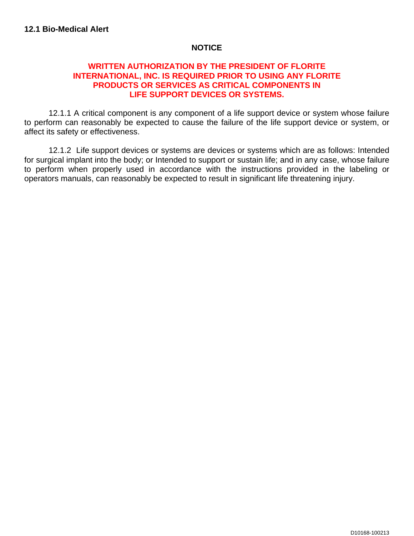# **NOTICE**

# **WRITTEN AUTHORIZATION BY THE PRESIDENT OF FLORITE INTERNATIONAL, INC. IS REQUIRED PRIOR TO USING ANY FLORITE PRODUCTS OR SERVICES AS CRITICAL COMPONENTS IN LIFE SUPPORT DEVICES OR SYSTEMS.**

 12.1.1 A critical component is any component of a life support device or system whose failure to perform can reasonably be expected to cause the failure of the life support device or system, or affect its safety or effectiveness.

 12.1.2 Life support devices or systems are devices or systems which are as follows: Intended for surgical implant into the body; or Intended to support or sustain life; and in any case, whose failure to perform when properly used in accordance with the instructions provided in the labeling or operators manuals, can reasonably be expected to result in significant life threatening injury.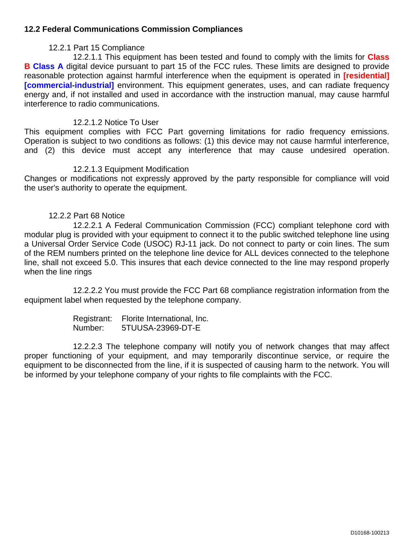# **12.2 Federal Communications Commission Compliances**

# 12.2.1 Part 15 Compliance

 12.2.1.1 This equipment has been tested and found to comply with the limits for **Class B Class A** digital device pursuant to part 15 of the FCC rules. These limits are designed to provide reasonable protection against harmful interference when the equipment is operated in **[residential] [commercial-industrial]** environment. This equipment generates, uses, and can radiate frequency energy and, if not installed and used in accordance with the instruction manual, may cause harmful interference to radio communications.

# 12.2.1.2 Notice To User

This equipment complies with FCC Part governing limitations for radio frequency emissions. Operation is subject to two conditions as follows: (1) this device may not cause harmful interference, and (2) this device must accept any interference that may cause undesired operation.

# 12.2.1.3 Equipment Modification

Changes or modifications not expressly approved by the party responsible for compliance will void the user's authority to operate the equipment.

# 12.2.2 Part 68 Notice

 12.2.2.1 A Federal Communication Commission (FCC) compliant telephone cord with modular plug is provided with your equipment to connect it to the public switched telephone line using a Universal Order Service Code (USOC) RJ-11 jack. Do not connect to party or coin lines. The sum of the REM numbers printed on the telephone line device for ALL devices connected to the telephone line, shall not exceed 5.0. This insures that each device connected to the line may respond properly when the line rings

 12.2.2.2 You must provide the FCC Part 68 compliance registration information from the equipment label when requested by the telephone company.

> Registrant: Florite International, Inc. Number: 5TUUSA-23969-DT-E

 12.2.2.3 The telephone company will notify you of network changes that may affect proper functioning of your equipment, and may temporarily discontinue service, or require the equipment to be disconnected from the line, if it is suspected of causing harm to the network. You will be informed by your telephone company of your rights to file complaints with the FCC.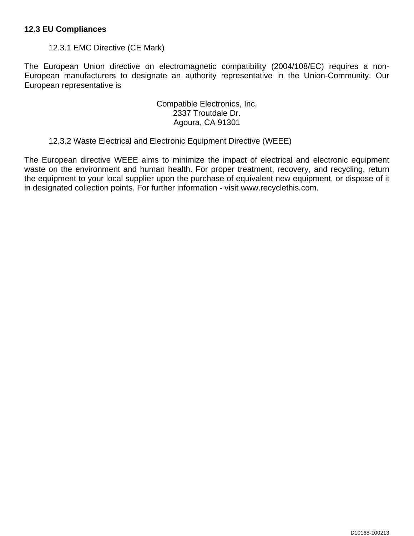# **12.3 EU Compliances**

12.3.1 EMC Directive (CE Mark)

The European Union directive on electromagnetic compatibility (2004/108/EC) requires a non-European manufacturers to designate an authority representative in the Union-Community. Our European representative is

> Compatible Electronics, Inc. 2337 Troutdale Dr. Agoura, CA 91301

12.3.2 Waste Electrical and Electronic Equipment Directive (WEEE)

The European directive WEEE aims to minimize the impact of electrical and electronic equipment waste on the environment and human health. For proper treatment, recovery, and recycling, return the equipment to your local supplier upon the purchase of equivalent new equipment, or dispose of it in designated collection points. For further information - visit www.recyclethis.com.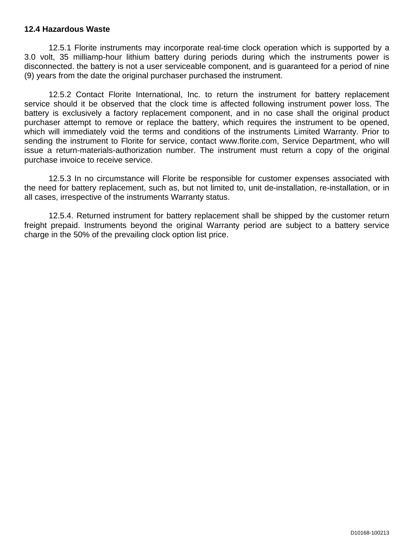# **12.4 Hazardous Waste**

 12.5.1 Florite instruments may incorporate real-time clock operation which is supported by a 3.0 volt, 35 milliamp-hour lithium battery during periods during which the instruments power is disconnected. the battery is not a user serviceable component, and is guaranteed for a period of nine (9) years from the date the original purchaser purchased the instrument.

 12.5.2 Contact Florite International, Inc. to return the instrument for battery replacement service should it be observed that the clock time is affected following instrument power loss. The battery is exclusively a factory replacement component, and in no case shall the original product purchaser attempt to remove or replace the battery, which requires the instrument to be opened, which will immediately void the terms and conditions of the instruments Limited Warranty. Prior to sending the instrument to Florite for service, contact www.florite.com, Service Department, who will issue a return-materials-authorization number. The instrument must return a copy of the original purchase invoice to receive service.

 12.5.3 In no circumstance will Florite be responsible for customer expenses associated with the need for battery replacement, such as, but not limited to, unit de-installation, re-installation, or in all cases, irrespective of the instruments Warranty status.

 12.5.4. Returned instrument for battery replacement shall be shipped by the customer return freight prepaid. Instruments beyond the original Warranty period are subject to a battery service charge in the 50% of the prevailing clock option list price.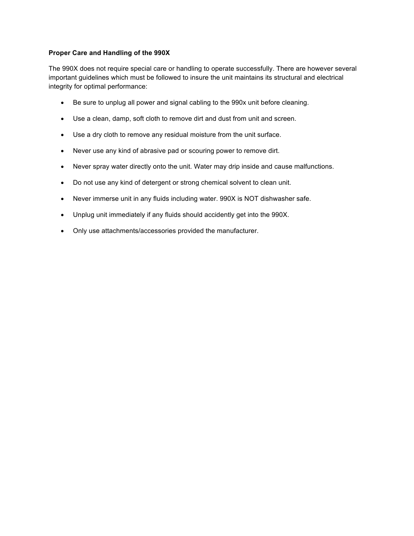#### **Proper Care and Handling of the 990X**

The 990X does not require special care or handling to operate successfully. There are however several important guidelines which must be followed to insure the unit maintains its structural and electrical integrity for optimal performance:

- Be sure to unplug all power and signal cabling to the 990x unit before cleaning.
- Use a clean, damp, soft cloth to remove dirt and dust from unit and screen.
- Use a dry cloth to remove any residual moisture from the unit surface.
- Never use any kind of abrasive pad or scouring power to remove dirt.
- Never spray water directly onto the unit. Water may drip inside and cause malfunctions.
- Do not use any kind of detergent or strong chemical solvent to clean unit.
- Never immerse unit in any fluids including water. 990X is NOT dishwasher safe.
- Unplug unit immediately if any fluids should accidently get into the 990X.
- Only use attachments/accessories provided the manufacturer.